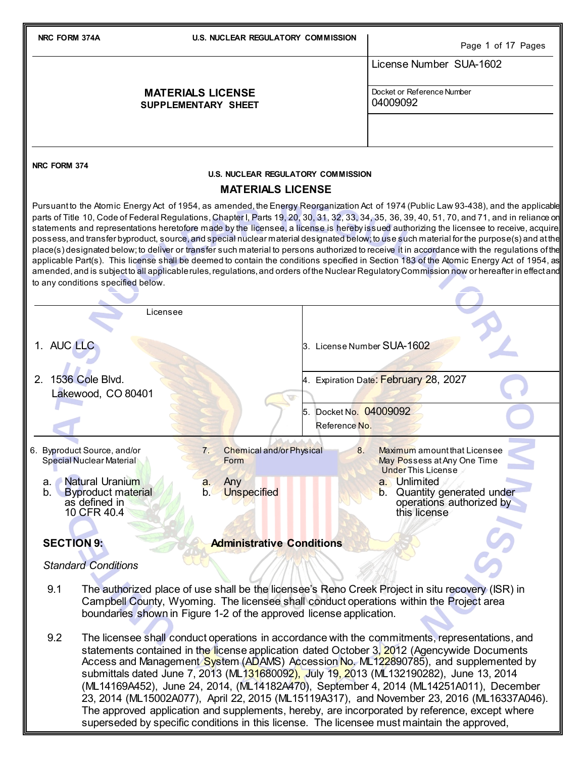| NRC FORM 374A                                                                                                                                                                                                                                                                                                                                                                                                                                                                                                                                                                                                                                                                                                                                                                                                                                                                                                                                                                                                                                                      |                                                                                     | <b>U.S. NUCLEAR REGULATORY COMMISSION</b>       |                            | Page 1 of 17 Pages                                                                                                                                                                                                                                                                                                                                                                                                                                                                                                                                                                                                                                                                                                                                                       |
|--------------------------------------------------------------------------------------------------------------------------------------------------------------------------------------------------------------------------------------------------------------------------------------------------------------------------------------------------------------------------------------------------------------------------------------------------------------------------------------------------------------------------------------------------------------------------------------------------------------------------------------------------------------------------------------------------------------------------------------------------------------------------------------------------------------------------------------------------------------------------------------------------------------------------------------------------------------------------------------------------------------------------------------------------------------------|-------------------------------------------------------------------------------------|-------------------------------------------------|----------------------------|--------------------------------------------------------------------------------------------------------------------------------------------------------------------------------------------------------------------------------------------------------------------------------------------------------------------------------------------------------------------------------------------------------------------------------------------------------------------------------------------------------------------------------------------------------------------------------------------------------------------------------------------------------------------------------------------------------------------------------------------------------------------------|
|                                                                                                                                                                                                                                                                                                                                                                                                                                                                                                                                                                                                                                                                                                                                                                                                                                                                                                                                                                                                                                                                    |                                                                                     |                                                 |                            | License Number SUA-1602                                                                                                                                                                                                                                                                                                                                                                                                                                                                                                                                                                                                                                                                                                                                                  |
|                                                                                                                                                                                                                                                                                                                                                                                                                                                                                                                                                                                                                                                                                                                                                                                                                                                                                                                                                                                                                                                                    |                                                                                     | <b>MATERIALS LICENSE</b><br>SUPPLEMENTARY SHEET |                            | Docket or Reference Number<br>04009092                                                                                                                                                                                                                                                                                                                                                                                                                                                                                                                                                                                                                                                                                                                                   |
|                                                                                                                                                                                                                                                                                                                                                                                                                                                                                                                                                                                                                                                                                                                                                                                                                                                                                                                                                                                                                                                                    |                                                                                     |                                                 |                            |                                                                                                                                                                                                                                                                                                                                                                                                                                                                                                                                                                                                                                                                                                                                                                          |
| NRC FORM 374                                                                                                                                                                                                                                                                                                                                                                                                                                                                                                                                                                                                                                                                                                                                                                                                                                                                                                                                                                                                                                                       |                                                                                     | <b>U.S. NUCLEAR REGULATORY COMMISSION</b>       |                            |                                                                                                                                                                                                                                                                                                                                                                                                                                                                                                                                                                                                                                                                                                                                                                          |
|                                                                                                                                                                                                                                                                                                                                                                                                                                                                                                                                                                                                                                                                                                                                                                                                                                                                                                                                                                                                                                                                    |                                                                                     | <b>MATERIALS LICENSE</b>                        |                            |                                                                                                                                                                                                                                                                                                                                                                                                                                                                                                                                                                                                                                                                                                                                                                          |
| Pursuantto the Atomic Energy Act of 1954, as amended, the Energy Reorganization Act of 1974 (Public Law 93-438), and the applicable<br>parts of Title 10, Code of Federal Regulations, Chapter I, Parts 19, 20, 30, 31, 32, 33, 34, 35, 36, 39, 40, 51, 70, and 71, and in reliance or<br>statements and representations heretofore made by the licensee, a license is hereby issued authorizing the licensee to receive, acquire<br>possess, and transfer byproduct, source, and special nuclear material designated below; to use such material for the purpose(s) and at the<br>place(s) designated below; to deliver or transfer such material to persons authorized to receive it in accordance with the regulations of the<br>applicable Part(s). This license shall be deemed to contain the conditions specified in Section 183 of the Atomic Energy Act of 1954, as<br>amended, and is subject to all applicable rules, regulations, and orders of the Nuclear Regulatory Commission now or hereafter in effect and<br>to any conditions specified below. |                                                                                     |                                                 |                            |                                                                                                                                                                                                                                                                                                                                                                                                                                                                                                                                                                                                                                                                                                                                                                          |
|                                                                                                                                                                                                                                                                                                                                                                                                                                                                                                                                                                                                                                                                                                                                                                                                                                                                                                                                                                                                                                                                    | Licensee                                                                            |                                                 |                            |                                                                                                                                                                                                                                                                                                                                                                                                                                                                                                                                                                                                                                                                                                                                                                          |
| 1. AUC LLC                                                                                                                                                                                                                                                                                                                                                                                                                                                                                                                                                                                                                                                                                                                                                                                                                                                                                                                                                                                                                                                         |                                                                                     |                                                 | 3. License Number SUA-1602 |                                                                                                                                                                                                                                                                                                                                                                                                                                                                                                                                                                                                                                                                                                                                                                          |
| 2. 1536 Cole Blvd.                                                                                                                                                                                                                                                                                                                                                                                                                                                                                                                                                                                                                                                                                                                                                                                                                                                                                                                                                                                                                                                 |                                                                                     |                                                 |                            | 4. Expiration Date: February 28, 2027                                                                                                                                                                                                                                                                                                                                                                                                                                                                                                                                                                                                                                                                                                                                    |
|                                                                                                                                                                                                                                                                                                                                                                                                                                                                                                                                                                                                                                                                                                                                                                                                                                                                                                                                                                                                                                                                    | Lakewood, CO 80401                                                                  |                                                 | 5. Docket No. 04009092     |                                                                                                                                                                                                                                                                                                                                                                                                                                                                                                                                                                                                                                                                                                                                                                          |
|                                                                                                                                                                                                                                                                                                                                                                                                                                                                                                                                                                                                                                                                                                                                                                                                                                                                                                                                                                                                                                                                    |                                                                                     |                                                 | Reference No.              |                                                                                                                                                                                                                                                                                                                                                                                                                                                                                                                                                                                                                                                                                                                                                                          |
|                                                                                                                                                                                                                                                                                                                                                                                                                                                                                                                                                                                                                                                                                                                                                                                                                                                                                                                                                                                                                                                                    | 6. Byproduct Source, and/or<br><b>Special Nuclear Material</b>                      | <b>Chemical and/or Physical</b><br>7.<br>Form   | 8.                         | Maximum amount that Licensee<br>May Possess at Any One Time<br><b>Under This License</b>                                                                                                                                                                                                                                                                                                                                                                                                                                                                                                                                                                                                                                                                                 |
| а.<br>b.                                                                                                                                                                                                                                                                                                                                                                                                                                                                                                                                                                                                                                                                                                                                                                                                                                                                                                                                                                                                                                                           | <b>Natural Uranium</b><br><b>Byproduct material</b><br>as defined in<br>10 CFR 40.4 | Any<br>a.<br><b>Unspecified</b><br>b.           |                            | a. Unlimited<br>Quantity generated under<br>$\mathbf b$ .<br>operations authorized by<br>this license                                                                                                                                                                                                                                                                                                                                                                                                                                                                                                                                                                                                                                                                    |
|                                                                                                                                                                                                                                                                                                                                                                                                                                                                                                                                                                                                                                                                                                                                                                                                                                                                                                                                                                                                                                                                    |                                                                                     |                                                 |                            |                                                                                                                                                                                                                                                                                                                                                                                                                                                                                                                                                                                                                                                                                                                                                                          |
| <b>SECTION 9:</b>                                                                                                                                                                                                                                                                                                                                                                                                                                                                                                                                                                                                                                                                                                                                                                                                                                                                                                                                                                                                                                                  |                                                                                     | <b>Administrative Conditions</b>                |                            |                                                                                                                                                                                                                                                                                                                                                                                                                                                                                                                                                                                                                                                                                                                                                                          |
|                                                                                                                                                                                                                                                                                                                                                                                                                                                                                                                                                                                                                                                                                                                                                                                                                                                                                                                                                                                                                                                                    | <b>Standard Conditions</b>                                                          |                                                 |                            |                                                                                                                                                                                                                                                                                                                                                                                                                                                                                                                                                                                                                                                                                                                                                                          |
| 9.1                                                                                                                                                                                                                                                                                                                                                                                                                                                                                                                                                                                                                                                                                                                                                                                                                                                                                                                                                                                                                                                                | boundaries shown in Figure 1-2 of the approved license application.                 |                                                 |                            | The authorized place of use shall be the licensee's Reno Creek Project in situ recovery (ISR) in<br>Campbell County, Wyoming. The licensee shall conduct operations within the Project area                                                                                                                                                                                                                                                                                                                                                                                                                                                                                                                                                                              |
| 9.2                                                                                                                                                                                                                                                                                                                                                                                                                                                                                                                                                                                                                                                                                                                                                                                                                                                                                                                                                                                                                                                                |                                                                                     |                                                 |                            | The licensee shall conduct operations in accordance with the commitments, representations, and<br>statements contained in the license application dated October 3, 2012 (Agencywide Documents<br>Access and Management System (ADAMS) Accession No. ML122890785), and supplemented by<br>submittals dated June 7, 2013 (ML131680092), July 19, 2013 (ML132190282), June 13, 2014<br>(ML14169A452), June 24, 2014, (ML14182A470), September 4, 2014 (ML14251A011), December<br>23, 2014 (ML15002A077), April 22, 2015 (ML15119A317), and November 23, 2016 (ML16337A046).<br>The approved application and supplements, hereby, are incorporated by reference, except where<br>superseded by specific conditions in this license. The licensee must maintain the approved, |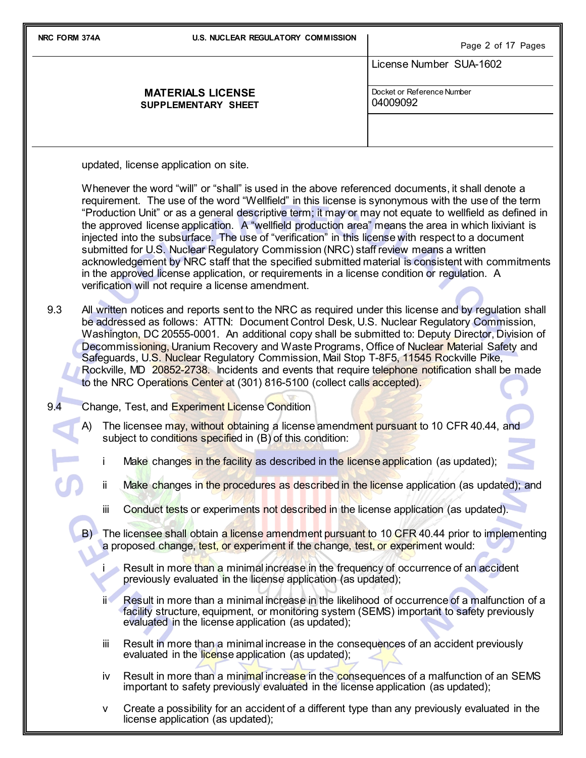| NRC FORM 374A | <b>U.S. NUCLEAR REGULATORY COMMISSION</b>                                                                                                                                                                                                                                                                                                                                                                                                                                                                                                                                                                                                                                                                                                                                                                                                                                                                                                                                                                                                                                                                                                                                                                                                                                                                                                                                                                                                                                                   | Page 2 of 17 Pages                     |
|---------------|---------------------------------------------------------------------------------------------------------------------------------------------------------------------------------------------------------------------------------------------------------------------------------------------------------------------------------------------------------------------------------------------------------------------------------------------------------------------------------------------------------------------------------------------------------------------------------------------------------------------------------------------------------------------------------------------------------------------------------------------------------------------------------------------------------------------------------------------------------------------------------------------------------------------------------------------------------------------------------------------------------------------------------------------------------------------------------------------------------------------------------------------------------------------------------------------------------------------------------------------------------------------------------------------------------------------------------------------------------------------------------------------------------------------------------------------------------------------------------------------|----------------------------------------|
|               |                                                                                                                                                                                                                                                                                                                                                                                                                                                                                                                                                                                                                                                                                                                                                                                                                                                                                                                                                                                                                                                                                                                                                                                                                                                                                                                                                                                                                                                                                             | License Number SUA-1602                |
|               | <b>MATERIALS LICENSE</b><br>SUPPLEMENTARY SHEET                                                                                                                                                                                                                                                                                                                                                                                                                                                                                                                                                                                                                                                                                                                                                                                                                                                                                                                                                                                                                                                                                                                                                                                                                                                                                                                                                                                                                                             | Docket or Reference Number<br>04009092 |
|               |                                                                                                                                                                                                                                                                                                                                                                                                                                                                                                                                                                                                                                                                                                                                                                                                                                                                                                                                                                                                                                                                                                                                                                                                                                                                                                                                                                                                                                                                                             |                                        |
|               | updated, license application on site.                                                                                                                                                                                                                                                                                                                                                                                                                                                                                                                                                                                                                                                                                                                                                                                                                                                                                                                                                                                                                                                                                                                                                                                                                                                                                                                                                                                                                                                       |                                        |
| 9.3           | Whenever the word "will" or "shall" is used in the above referenced documents, it shall denote a<br>requirement. The use of the word "Wellfield" in this license is synonymous with the use of the term<br>"Production Unit" or as a general descriptive term; it may or may not equate to wellfield as defined in<br>the approved license application. A "wellfield production area" means the area in which lixiviant is<br>injected into the subsurface. The use of "verification" in this license with respect to a document<br>submitted for U.S. Nuclear Regulatory Commission (NRC) staff review means a written<br>acknowledgement by NRC staff that the specified submitted material is consistent with commitments<br>in the approved license application, or requirements in a license condition or regulation. A<br>verification will not require a license amendment.<br>All written notices and reports sent to the NRC as required under this license and by regulation shall<br>be addressed as follows: ATTN: Document Control Desk, U.S. Nuclear Regulatory Commission,<br>Washington, DC 20555-0001. An additional copy shall be submitted to: Deputy Director, Division of<br>Decommissioning, Uranium Recovery and Waste Programs, Office of Nuclear Material Safety and<br>Safeguards, U.S. Nuclear Regulatory Commission, Mail Stop T-8F5, 11545 Rockville Pike,<br>Rockville, MD 20852-2738. Incidents and events that require telephone notification shall be made |                                        |
| 9.4           | to the NRC Operations Center at (301) 816-5100 (collect calls accepted).<br>Change, Test, and Experiment License Condition                                                                                                                                                                                                                                                                                                                                                                                                                                                                                                                                                                                                                                                                                                                                                                                                                                                                                                                                                                                                                                                                                                                                                                                                                                                                                                                                                                  |                                        |
| A)            | The licensee may, without obtaining a license amendment pursuant to 10 CFR 40.44, and<br>subject to conditions specified in (B) of this condition:                                                                                                                                                                                                                                                                                                                                                                                                                                                                                                                                                                                                                                                                                                                                                                                                                                                                                                                                                                                                                                                                                                                                                                                                                                                                                                                                          |                                        |
|               | Make changes in the facility as described in the license application (as updated);                                                                                                                                                                                                                                                                                                                                                                                                                                                                                                                                                                                                                                                                                                                                                                                                                                                                                                                                                                                                                                                                                                                                                                                                                                                                                                                                                                                                          |                                        |
|               | ij.<br>Make changes in the procedures as described in the license application (as updated); and                                                                                                                                                                                                                                                                                                                                                                                                                                                                                                                                                                                                                                                                                                                                                                                                                                                                                                                                                                                                                                                                                                                                                                                                                                                                                                                                                                                             |                                        |
|               | iii<br>Conduct tests or experiments not described in the license application (as updated).                                                                                                                                                                                                                                                                                                                                                                                                                                                                                                                                                                                                                                                                                                                                                                                                                                                                                                                                                                                                                                                                                                                                                                                                                                                                                                                                                                                                  |                                        |
|               | B) The licensee shall obtain a license amendment pursuant to 10 CFR 40.44 prior to implementing<br>a proposed change, test, or experiment if the change, test, or experiment would:                                                                                                                                                                                                                                                                                                                                                                                                                                                                                                                                                                                                                                                                                                                                                                                                                                                                                                                                                                                                                                                                                                                                                                                                                                                                                                         |                                        |
|               | Result in more than a minimal increase in the frequency of occurrence of an accident<br>previously evaluated in the license application (as updated);                                                                                                                                                                                                                                                                                                                                                                                                                                                                                                                                                                                                                                                                                                                                                                                                                                                                                                                                                                                                                                                                                                                                                                                                                                                                                                                                       |                                        |
|               | Result in more than a minimal increase in the likelihood of occurrence of a malfunction of a<br>ij۹<br>facility structure, equipment, or monitoring system (SEMS) important to safety previously<br>evaluated in the license application (as updated);                                                                                                                                                                                                                                                                                                                                                                                                                                                                                                                                                                                                                                                                                                                                                                                                                                                                                                                                                                                                                                                                                                                                                                                                                                      |                                        |
|               | Result in more than a minimal increase in the consequences of an accident previously<br>iii<br>evaluated in the license application (as updated);                                                                                                                                                                                                                                                                                                                                                                                                                                                                                                                                                                                                                                                                                                                                                                                                                                                                                                                                                                                                                                                                                                                                                                                                                                                                                                                                           |                                        |
|               | Result in more than a minimal increase in the consequences of a malfunction of an SEMS<br>iv<br>important to safety previously evaluated in the license application (as updated);                                                                                                                                                                                                                                                                                                                                                                                                                                                                                                                                                                                                                                                                                                                                                                                                                                                                                                                                                                                                                                                                                                                                                                                                                                                                                                           |                                        |

v Create a possibility for an accident of a different type than any previously evaluated in the license application (as updated);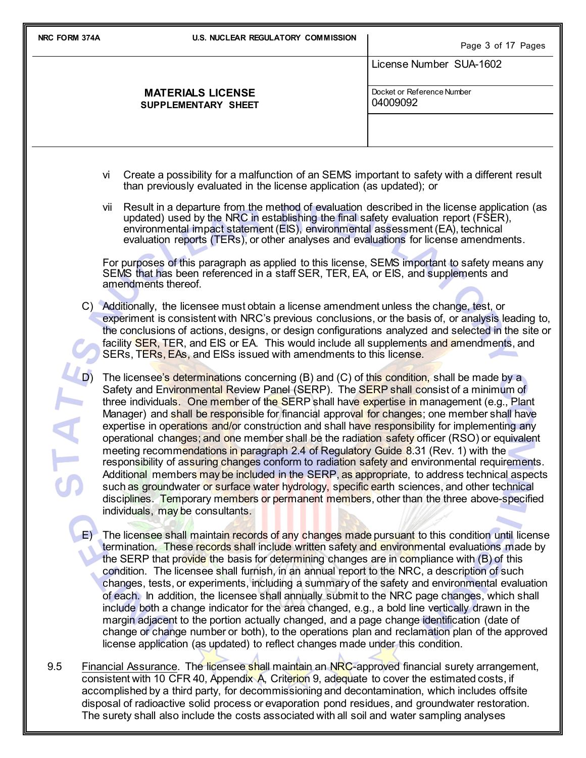| NRC FORM 374A | <b>U.S. NUCLEAR REGULATORY COMMISSION</b>                                                                                                                                                                                                                                                                                                                                                                                                                                                                                                                                                                                                                                                                                                                                                                                                                                                                                                                                                                                                                                                                   | Page 3 of 17 Pages                     |
|---------------|-------------------------------------------------------------------------------------------------------------------------------------------------------------------------------------------------------------------------------------------------------------------------------------------------------------------------------------------------------------------------------------------------------------------------------------------------------------------------------------------------------------------------------------------------------------------------------------------------------------------------------------------------------------------------------------------------------------------------------------------------------------------------------------------------------------------------------------------------------------------------------------------------------------------------------------------------------------------------------------------------------------------------------------------------------------------------------------------------------------|----------------------------------------|
|               |                                                                                                                                                                                                                                                                                                                                                                                                                                                                                                                                                                                                                                                                                                                                                                                                                                                                                                                                                                                                                                                                                                             | License Number SUA-1602                |
|               | <b>MATERIALS LICENSE</b><br>SUPPLEMENTARY SHEET                                                                                                                                                                                                                                                                                                                                                                                                                                                                                                                                                                                                                                                                                                                                                                                                                                                                                                                                                                                                                                                             | Docket or Reference Number<br>04009092 |
|               |                                                                                                                                                                                                                                                                                                                                                                                                                                                                                                                                                                                                                                                                                                                                                                                                                                                                                                                                                                                                                                                                                                             |                                        |
|               | Create a possibility for a malfunction of an SEMS important to safety with a different result<br>vi<br>than previously evaluated in the license application (as updated); or                                                                                                                                                                                                                                                                                                                                                                                                                                                                                                                                                                                                                                                                                                                                                                                                                                                                                                                                |                                        |
|               | Result in a departure from the method of evaluation described in the license application (as<br>Vii<br>updated) used by the NRC in establishing the final safety evaluation report (FSER),<br>environmental impact statement (EIS), environmental assessment (EA), technical<br>evaluation reports (TERs), or other analyses and evaluations for license amendments.                                                                                                                                                                                                                                                                                                                                                                                                                                                                                                                                                                                                                                                                                                                                        |                                        |
|               | For purposes of this paragraph as applied to this license, SEMS important to safety means any<br>SEMS that has been referenced in a staff SER, TER, EA, or EIS, and supplements and<br>amendments thereof.                                                                                                                                                                                                                                                                                                                                                                                                                                                                                                                                                                                                                                                                                                                                                                                                                                                                                                  |                                        |
|               | C) Additionally, the licensee must obtain a license amendment unless the change, test, or<br>experiment is consistent with NRC's previous conclusions, or the basis of, or analysis leading to,<br>the conclusions of actions, designs, or design configurations analyzed and selected in the site or<br>facility SER, TER, and EIS or EA. This would include all supplements and amendments, and<br>SERs, TERs, EAs, and EISs issued with amendments to this license.                                                                                                                                                                                                                                                                                                                                                                                                                                                                                                                                                                                                                                      |                                        |
|               | The licensee's determinations concerning (B) and (C) of this condition, shall be made by a<br>Safety and Environmental Review Panel (SERP). The SERP shall consist of a minimum of<br>three individuals. One member of the SERP shall have expertise in management (e.g., Plant<br>Manager) and shall be responsible for financial approval for changes; one member shall have<br>expertise in operations and/or construction and shall have responsibility for implementing any<br>operational changes; and one member shall be the radiation safety officer (RSO) or equivalent<br>meeting recommendations in paragraph 2.4 of Regulatory Guide 8.31 (Rev. 1) with the<br>responsibility of assuring changes conform to radiation safety and environmental requirements.<br>Additional members may be included in the SERP, as appropriate, to address technical aspects<br>such as groundwater or surface water hydrology, specific earth sciences, and other technical<br>disciplines. Temporary members or permanent members, other than the three above-specified<br>individuals, may be consultants. |                                        |
| $E$ )         | The licensee shall maintain records of any changes made pursuant to this condition until license<br>termination. These records shall include written safety and environmental evaluations made by<br>the SERP that provide the basis for determining changes are in compliance with (B) of this<br>condition. The licensee shall furnish, in an annual report to the NRC, a description of such<br>changes, tests, or experiments, including a summary of the safety and environmental evaluation<br>of each. In addition, the licensee shall annually submit to the NRC page changes, which shall<br>include both a change indicator for the area changed, e.g., a bold line vertically drawn in the<br>margin adjacent to the portion actually changed, and a page change identification (date of<br>change or change number or both), to the operations plan and reclamation plan of the approved<br>license application (as updated) to reflect changes made under this condition.                                                                                                                      |                                        |
| 9.5           | Financial Assurance. The licensee shall maintain an NRC-approved financial surety arrangement,<br>consistent with 10 CFR 40, Appendix A, Criterion 9, adequate to cover the estimated costs, if<br>accomplished by a third party, for decommissioning and decontamination, which includes offsite                                                                                                                                                                                                                                                                                                                                                                                                                                                                                                                                                                                                                                                                                                                                                                                                           |                                        |

disposal of radioactive solid process or evaporation pond residues, and groundwater restoration. The surety shall also include the costs associated with all soil and water sampling analyses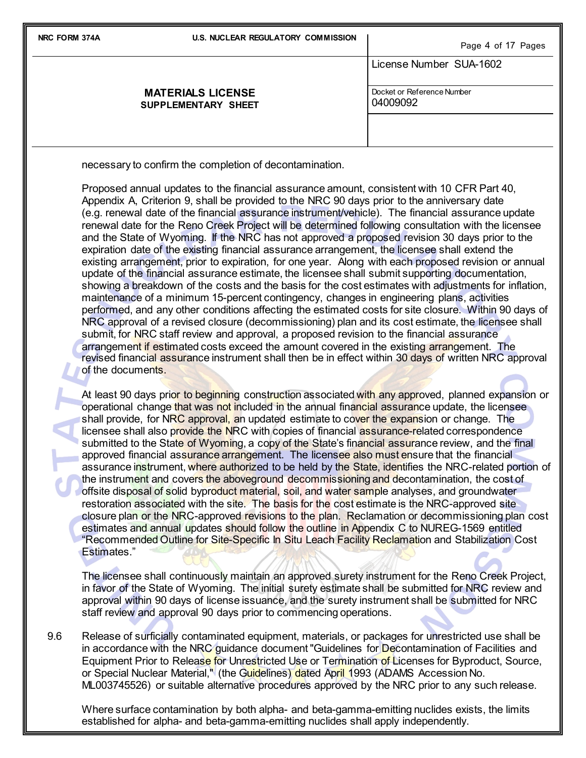**NRC FORM 374A U.S. NUCLEAR REGULATORY COMMISSION**

|                                                        | Page 4 of 17 Pages                     |
|--------------------------------------------------------|----------------------------------------|
|                                                        | License Number SUA-1602                |
| <b>MATERIALS LICENSE</b><br><b>SUPPLEMENTARY SHEET</b> | Docket or Reference Number<br>04009092 |
|                                                        |                                        |

necessary to confirm the completion of decontamination.

Proposed annual updates to the financial assurance amount, consistent with 10 CFR Part 40, Appendix A, Criterion 9, shall be provided to the NRC 90 days prior to the anniversary date (e.g. renewal date of the financial assurance instrument/vehicle). The financial assurance update renewal date for the Reno Creek Project will be determined following consultation with the licensee and the State of Wyoming. If the NRC has not approved a proposed revision 30 days prior to the expiration date of the existing financial assurance arrangement, the licensee shall extend the existing arrangement, prior to expiration, for one year. Along with each proposed revision or annual update of the financial assurance estimate, the licensee shall submit supporting documentation, showing a breakdown of the costs and the basis for the cost estimates with adjustments for inflation, maintenance of a minimum 15-percent contingency, changes in engineering plans, activities performed, and any other conditions affecting the estimated costs for site closure. Within 90 days of NRC approval of a revised closure (decommissioning) plan and its cost estimate, the licensee shall submit, for NRC staff review and approval, a proposed revision to the financial assurance arrangement if estimated costs exceed the amount covered in the existing arrangement. The revised financial assurance instrument shall then be in effect within 30 days of written NRC approval of the documents.

At least 90 days prior to beginning construction associated with any approved, planned expansion or operational change that was not included in the annual financial assurance update, the licensee shall provide, for NRC approval, an updated estimate to cover the expansion or change. The licensee shall also provide the NRC with copies of financial assurance-related correspondence submitted to the State of Wyoming, a copy of the State's financial assurance review, and the final approved financial assurance arrangement. The licensee also must ensure that the financial assurance instrument, where authorized to be held by the State, identifies the NRC-related portion of the instrument and covers the aboveground decommissioning and decontamination, the cost of offsite disposal of solid byproduct material, soil, and water sample analyses, and groundwater restoration associated with the site. The basis for the cost estimate is the NRC-approved site closure plan or the NRC-approved revisions to the plan. Reclamation or decommissioning plan cost estimates and annual updates should follow the outline in Appendix C to NUREG-1569 entitled "Recommended Outline for Site-Specific In Situ Leach Facility Reclamation and Stabilization Cost Estimates."

The licensee shall continuously maintain an approved surety instrument for the Reno Creek Project, in favor of the State of Wyoming. The initial surety estimate shall be submitted for NRC review and approval within 90 days of license issuance, and the surety instrument shall be submitted for NRC staff review and approval 90 days prior to commencing operations.

9.6 Release of surficially contaminated equipment, materials, or packages for unrestricted use shall be in accordance with the NRC quidance document "Guidelines for Decontamination of Facilities and Equipment Prior to Release for Unrestricted Use or Termination of Licenses for Byproduct, Source, or Special Nuclear Material," (the Guidelines) dated April 1993 (ADAMS Accession No. ML003745526) or suitable alternative procedures approved by the NRC prior to any such release.

Where surface contamination by both alpha- and beta-gamma-emitting nuclides exists, the limits established for alpha- and beta-gamma-emitting nuclides shall apply independently.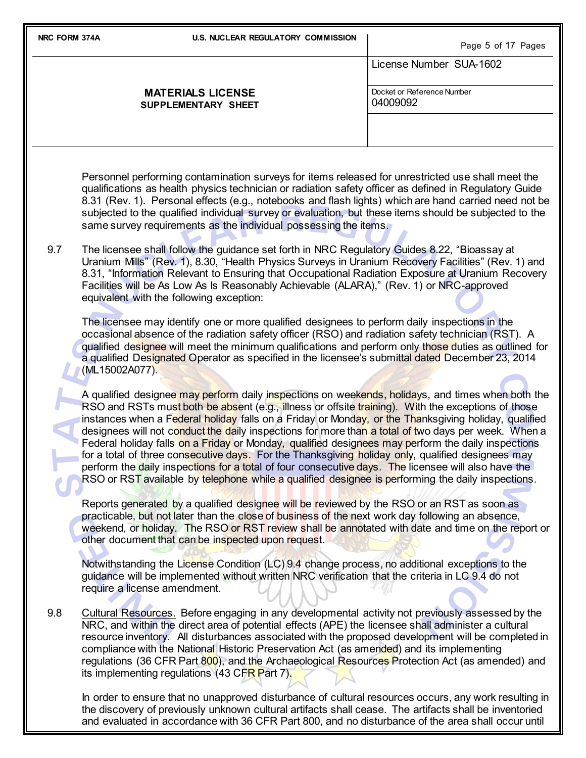| NRC FORM 374A |                | <b>U.S. NUCLEAR REGULATORY COMMISSION</b>                                                                                                                                                                                                            | Page 5 of 17 Pages                                                                                                                                                                                                                                                                                                                                                                                                                                                                                                                                                                                                                                                                                                                                                                                                                            |
|---------------|----------------|------------------------------------------------------------------------------------------------------------------------------------------------------------------------------------------------------------------------------------------------------|-----------------------------------------------------------------------------------------------------------------------------------------------------------------------------------------------------------------------------------------------------------------------------------------------------------------------------------------------------------------------------------------------------------------------------------------------------------------------------------------------------------------------------------------------------------------------------------------------------------------------------------------------------------------------------------------------------------------------------------------------------------------------------------------------------------------------------------------------|
|               |                |                                                                                                                                                                                                                                                      | License Number SUA-1602                                                                                                                                                                                                                                                                                                                                                                                                                                                                                                                                                                                                                                                                                                                                                                                                                       |
|               |                | <b>MATERIALS LICENSE</b><br>SUPPLEMENTARY SHEET                                                                                                                                                                                                      | Docket or Reference Number<br>04009092                                                                                                                                                                                                                                                                                                                                                                                                                                                                                                                                                                                                                                                                                                                                                                                                        |
|               |                |                                                                                                                                                                                                                                                      |                                                                                                                                                                                                                                                                                                                                                                                                                                                                                                                                                                                                                                                                                                                                                                                                                                               |
|               |                | same survey requirements as the individual possessing the items.                                                                                                                                                                                     | Personnel performing contamination surveys for items released for unrestricted use shall meet the<br>qualifications as health physics technician or radiation safety officer as defined in Regulatory Guide<br>8.31 (Rev. 1). Personal effects (e.g., notebooks and flash lights) which are hand carried need not be<br>subjected to the qualified individual survey or evaluation, but these items should be subjected to the                                                                                                                                                                                                                                                                                                                                                                                                                |
| 9.7           |                | The licensee shall follow the guidance set forth in NRC Regulatory Guides 8.22, "Bioassay at<br>Facilities will be As Low As Is Reasonably Achievable (ALARA)," (Rev. 1) or NRC-approved<br>equivalent with the following exception:                 | Uranium Mills" (Rev. 1), 8.30, "Health Physics Surveys in Uranium Recovery Facilities" (Rev. 1) and<br>8.31, "Information Relevant to Ensuring that Occupational Radiation Exposure at Uranium Recovery                                                                                                                                                                                                                                                                                                                                                                                                                                                                                                                                                                                                                                       |
|               | (ML15002A077). | The licensee may identify one or more qualified designees to perform daily inspections in the                                                                                                                                                        | occasional absence of the radiation safety officer (RSO) and radiation safety technician (RST). A<br>qualified designee will meet the minimum qualifications and perform only those duties as outlined for<br>a qualified Designated Operator as specified in the licensee's submittal dated December 23, 2014                                                                                                                                                                                                                                                                                                                                                                                                                                                                                                                                |
|               |                |                                                                                                                                                                                                                                                      | A qualified designee may perform daily inspections on weekends, holidays, and times when both the<br>RSO and RSTs must both be absent (e.g., illness or offsite training). With the exceptions of those<br>instances when a Federal holiday falls on a Friday or Monday, or the Thanksgiving holiday, qualified<br>designees will not conduct the daily inspections for more than a total of two days per week. When a<br>Federal holiday falls on a Friday or Monday, qualified designees may perform the daily inspections<br>for a total of three consecutive days. For the Thanksgiving holiday only, qualified designees may<br>perform the daily inspections for a total of four consecutive days. The licensee will also have the<br>RSO or RST available by telephone while a qualified designee is performing the daily inspections. |
|               |                | Reports generated by a qualified designee will be reviewed by the RSO or an RST as soon as<br>practicable, but not later than the close of business of the next work day following an absence,<br>other document that can be inspected upon request. | weekend, or holiday. The RSO or RST review shall be annotated with date and time on the report or                                                                                                                                                                                                                                                                                                                                                                                                                                                                                                                                                                                                                                                                                                                                             |
|               |                | Notwithstanding the License Condition (LC) 9.4 change process, no additional exceptions to the<br>guidance will be implemented without written NRC verification that the criteria in LC 9.4 do not<br>require a license amendment.                   |                                                                                                                                                                                                                                                                                                                                                                                                                                                                                                                                                                                                                                                                                                                                                                                                                                               |
| 9.8           |                | NRC, and within the direct area of potential effects (APE) the licensee shall administer a cultural<br>compliance with the National Historic Preservation Act (as amended) and its implementing<br>its implementing regulations (43 CFR Part 7).     | Cultural Resources. Before engaging in any developmental activity not previously assessed by the<br>resource inventory. All disturbances associated with the proposed development will be completed in<br>regulations (36 CFR Part 800), and the Archaeological Resources Protection Act (as amended) and                                                                                                                                                                                                                                                                                                                                                                                                                                                                                                                                     |
|               |                |                                                                                                                                                                                                                                                      | In order to ensure that no unapproved disturbance of cultural resources occurs, any work resulting in<br>the discovery of previously unknown cultural artifacts shall cease. The artifacts shall be inventoried                                                                                                                                                                                                                                                                                                                                                                                                                                                                                                                                                                                                                               |

and evaluated in accordance with 36 CFR Part 800, and no disturbance of the area shall occur until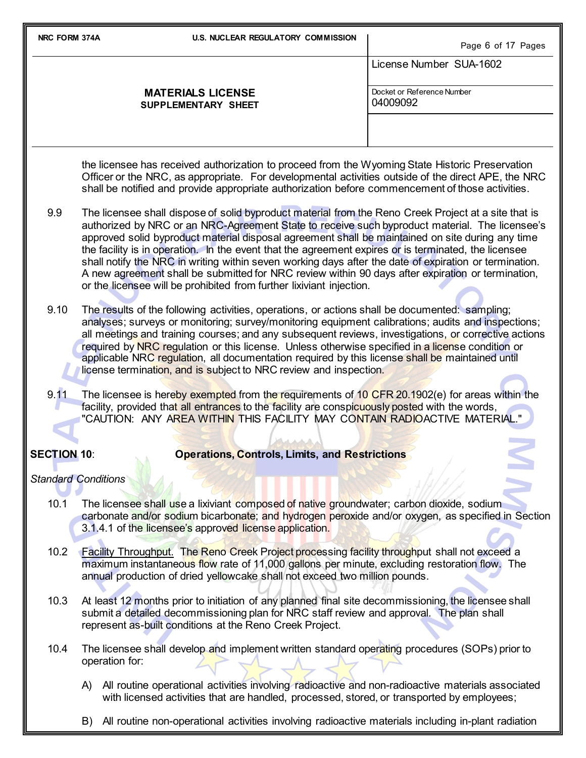**NRC FORM 374A U.S. NUCLEAR REGULATORY COMMISSION** Page 6 of 17 Pages License Number SUA-1602 **MATERIALS LICENSE SUPPLEMENTARY SHEET** Docket or Reference Number 04009092 the licensee has received authorization to proceed from the Wyoming State Historic Preservation Officer or the NRC, as appropriate. For developmental activities outside of the direct APE, the NRC shall be notified and provide appropriate authorization before commencement of those activities. 9.9 The licensee shall dispose of solid byproduct material from the Reno Creek Project at a site that is authorized by NRC or an NRC-Agreement State to receive such byproduct material. The licensee's approved solid byproduct material disposal agreement shall be maintained on site during any time the facility is in operation. In the event that the agreement expires or is terminated, the licensee shall notify the NRC in writing within seven working days after the date of expiration or termination. A new agreement shall be submitted for NRC review within 90 days after expiration or termination, or the licensee will be prohibited from further lixiviant injection. 9.10 The results of the following activities, operations, or actions shall be documented: sampling; analyses; surveys or monitoring; survey/monitoring equipment calibrations; audits and inspections; all meetings and training courses; and any subsequent reviews, investigations, or corrective actions required by NRC regulation or this license. Unless otherwise specified in a license condition or applicable NRC regulation, all documentation required by this license shall be maintained until license termination, and is subject to NRC review and inspection. 9.11 The licensee is hereby exempted from the requirements of 10 CFR 20.1902(e) for areas within the facility, provided that all entrances to the facility are conspicuously posted with the words, "CAUTION: ANY AREA WITHIN THIS FACILITY MAY CONTAIN RADIOACTIVE MATERIAL." **SECTION 10**: **Operations, Controls, Limits, and Restrictions** *Standard Conditions*

- 10.1 The licensee shall use a lixiviant composed of native groundwater; carbon dioxide, sodium carbonate and/or sodium bicarbonate; and hydrogen peroxide and/or oxygen, as specified in Section 3.1.4.1 of the licensee's approved license application.
- 10.2 Facility Throughput. The Reno Creek Project processing facility throughput shall not exceed a maximum instantaneous flow rate of 11,000 gallons per minute, excluding restoration flow. The annual production of dried yellowcake shall not exceed two million pounds.
- 10.3 At least 12 months prior to initiation of any planned final site decommissioning, the licensee shall submit a detailed decommissioning plan for NRC staff review and approval. The plan shall represent as-built conditions at the Reno Creek Project.
- 10.4 The licensee shall develop and implement written standard operating procedures (SOPs) prior to operation for:
	- A) All routine operational activities involving radioactive and non-radioactive materials associated with licensed activities that are handled, processed, stored, or transported by employees;
	- B) All routine non-operational activities involving radioactive materials including in-plant radiation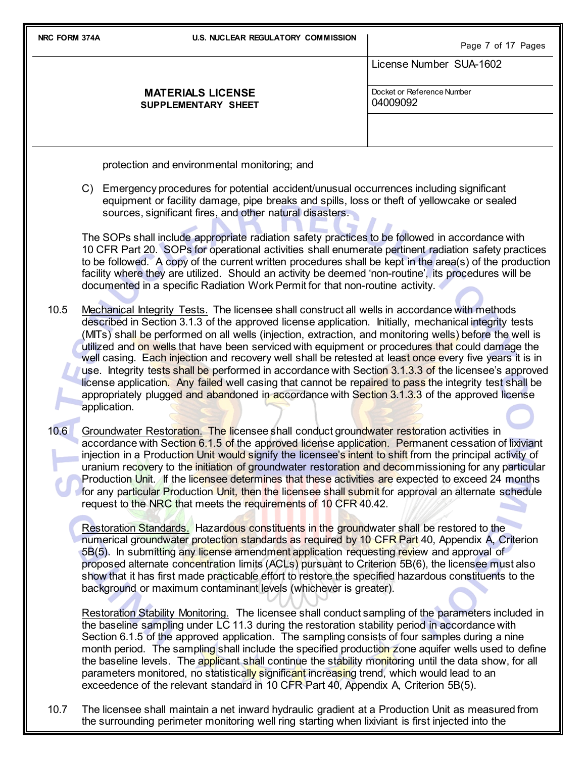| NRC FORM 374A | <b>U.S. NUCLEAR REGULATORY COMMISSION</b>                                                                                                                                                                                                                                                                                                                                                                                                                                                                                                                                                                                                                                                                                                                                                                                                                              | Page 7 of 17 Pages                     |
|---------------|------------------------------------------------------------------------------------------------------------------------------------------------------------------------------------------------------------------------------------------------------------------------------------------------------------------------------------------------------------------------------------------------------------------------------------------------------------------------------------------------------------------------------------------------------------------------------------------------------------------------------------------------------------------------------------------------------------------------------------------------------------------------------------------------------------------------------------------------------------------------|----------------------------------------|
|               |                                                                                                                                                                                                                                                                                                                                                                                                                                                                                                                                                                                                                                                                                                                                                                                                                                                                        | License Number SUA-1602                |
|               | <b>MATERIALS LICENSE</b><br>SUPPLEMENTARY SHEET                                                                                                                                                                                                                                                                                                                                                                                                                                                                                                                                                                                                                                                                                                                                                                                                                        | Docket or Reference Number<br>04009092 |
|               |                                                                                                                                                                                                                                                                                                                                                                                                                                                                                                                                                                                                                                                                                                                                                                                                                                                                        |                                        |
|               | protection and environmental monitoring; and                                                                                                                                                                                                                                                                                                                                                                                                                                                                                                                                                                                                                                                                                                                                                                                                                           |                                        |
|               | C) Emergency procedures for potential accident/unusual occurrences including significant<br>equipment or facility damage, pipe breaks and spills, loss or theft of yellowcake or sealed<br>sources, significant fires, and other natural disasters.                                                                                                                                                                                                                                                                                                                                                                                                                                                                                                                                                                                                                    |                                        |
|               | The SOPs shall include appropriate radiation safety practices to be followed in accordance with<br>10 CFR Part 20. SOPs for operational activities shall enumerate pertinent radiation safety practices<br>to be followed. A copy of the current written procedures shall be kept in the area(s) of the production<br>facility where they are utilized. Should an activity be deemed 'non-routine', its procedures will be<br>documented in a specific Radiation Work Permit for that non-routine activity.                                                                                                                                                                                                                                                                                                                                                            |                                        |
| 10.5          | Mechanical Integrity Tests. The licensee shall construct all wells in accordance with methods<br>described in Section 3.1.3 of the approved license application. Initially, mechanical integrity tests<br>(MITs) shall be performed on all wells (injection, extraction, and monitoring wells) before the well is<br>utilized and on wells that have been serviced with equipment or procedures that could damage the<br>well casing. Each injection and recovery well shall be retested at least once every five years it is in<br>use. Integrity tests shall be performed in accordance with Section 3.1.3.3 of the licensee's approved<br>license application. Any failed well casing that cannot be repaired to pass the integrity test shall be<br>appropriately plugged and abandoned in accordance with Section 3.1.3.3 of the approved license<br>application. |                                        |
| 10.6          | Groundwater Restoration. The licensee shall conduct groundwater restoration activities in<br>accordance with Section 6.1.5 of the approved license application. Permanent cessation of lixiviant<br>injection in a Production Unit would signify the licensee's intent to shift from the principal activity of<br>uranium recovery to the initiation of groundwater restoration and decommissioning for any particular<br>Production Unit. If the licensee determines that these activities are expected to exceed 24 months<br>for any particular Production Unit, then the licensee shall submit for approval an alternate schedule<br>request to the NRC that meets the requirements of 10 CFR 40.42.                                                                                                                                                               |                                        |
|               | Restoration Standards. Hazardous constituents in the groundwater shall be restored to the<br>numerical groundwater protection standards as required by 10 CFR Part 40, Appendix A, Criterion<br>5B(5). In submitting any license amendment application requesting review and approval of<br>proposed alternate concentration limits (ACLs) pursuant to Criterion 5B(6), the licensee must also<br>show that it has first made practicable effort to restore the specified hazardous constituents to the<br>background or maximum contaminant levels (whichever is greater).                                                                                                                                                                                                                                                                                            |                                        |
|               | Restoration Stability Monitoring. The licensee shall conduct sampling of the parameters included in<br>the baseline sampling under LC 11.3 during the restoration stability period in accordance with<br>Section 6.1.5 of the approved application. The sampling consists of four samples during a nine<br>month period. The sampling shall include the specified production zone aquifer wells used to define<br>the baseline levels. The applicant shall continue the stability monitoring until the data show, for all<br>parameters monitored, no statistically significant increasing trend, which would lead to an<br>exceedence of the relevant standard in 10 CFR Part 40, Appendix A, Criterion 5B(5).                                                                                                                                                        |                                        |

10.7 The licensee shall maintain a net inward hydraulic gradient at a Production Unit as measured from the surrounding perimeter monitoring well ring starting when lixiviant is first injected into the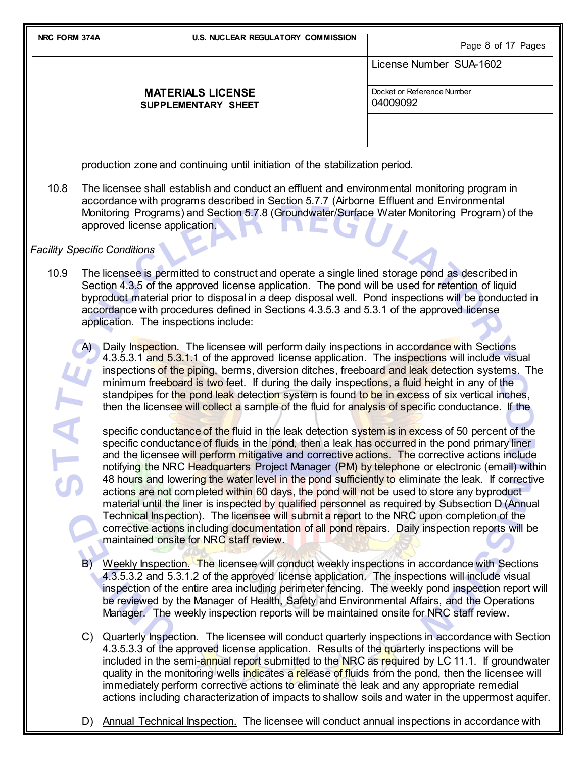Page 8 of 17 Pages

|                                                                              | raye o or <i>if</i> rayes              |
|------------------------------------------------------------------------------|----------------------------------------|
|                                                                              | License Number SUA-1602                |
| <b>MATERIALS LICENSE</b><br>SUPPLEMENTARY SHEET                              | Docket or Reference Number<br>04009092 |
| production zone and continuing until initiation of the stabilization period. |                                        |

10.8 The licensee shall establish and conduct an effluent and environmental monitoring program in accordance with programs described in Section 5.7.7 (Airborne Effluent and Environmental Monitoring Programs) and Section 5.7.8 (Groundwater/Surface Water Monitoring Program) of the approved license application.

*Facility Specific Conditions*

10.9 The licensee is permitted to construct and operate a single lined storage pond as described in Section 4.3.5 of the approved license application. The pond will be used for retention of liquid byproduct material prior to disposal in a deep disposal well. Pond inspections will be conducted in accordance with procedures defined in Sections 4.3.5.3 and 5.3.1 of the approved license application. The inspections include:

Daily Inspection. The licensee will perform daily inspections in accordance with Sections 4.3.5.3.1 and 5.3.1.1 of the approved license application. The inspections will include visual inspections of the piping, berms, diversion ditches, freeboard and leak detection systems. The minimum freeboard is two feet. If during the daily inspections, a fluid height in any of the standpipes for the pond leak detection system is found to be in excess of six vertical inches, then the licensee will collect a sample of the fluid for analysis of specific conductance. If the

specific conductance of the fluid in the leak detection system is in excess of 50 percent of the specific conductance of fluids in the pond, then a leak has occurred in the pond primary liner and the licensee will perform mitigative and corrective actions. The corrective actions include notifying the NRC Headquarters Project Manager (PM) by telephone or electronic (email) within 48 hours and lowering the water level in the pond sufficiently to eliminate the leak. If corrective actions are not completed within 60 days, the pond will not be used to store any byproduct material until the liner is inspected by qualified personnel as required by Subsection D (Annual Technical Inspection). The licensee will submit a report to the NRC upon completion of the corrective actions including documentation of all pond repairs. Daily inspection reports will be maintained onsite for NRC staff review.

- B) Weekly Inspection. The licensee will conduct weekly inspections in accordance with Sections 4.3.5.3.2 and 5.3.1.2 of the approved license application. The inspections will include visual inspection of the entire area including perimeter fencing. The weekly pond inspection report will be reviewed by the Manager of Health, Safety and Environmental Affairs, and the Operations Manager. The weekly inspection reports will be maintained onsite for NRC staff review.
- C) Quarterly Inspection. The licensee will conduct quarterly inspections in accordance with Section 4.3.5.3.3 of the approved license application. Results of the quarterly inspections will be included in the semi-annual report submitted to the NRC as required by LC 11.1. If groundwater quality in the monitoring wells indicates a release of fluids from the pond, then the licensee will immediately perform corrective actions to eliminate the leak and any appropriate remedial actions including characterization of impacts to shallow soils and water in the uppermost aquifer.
- D) Annual Technical Inspection. The licensee will conduct annual inspections in accordance with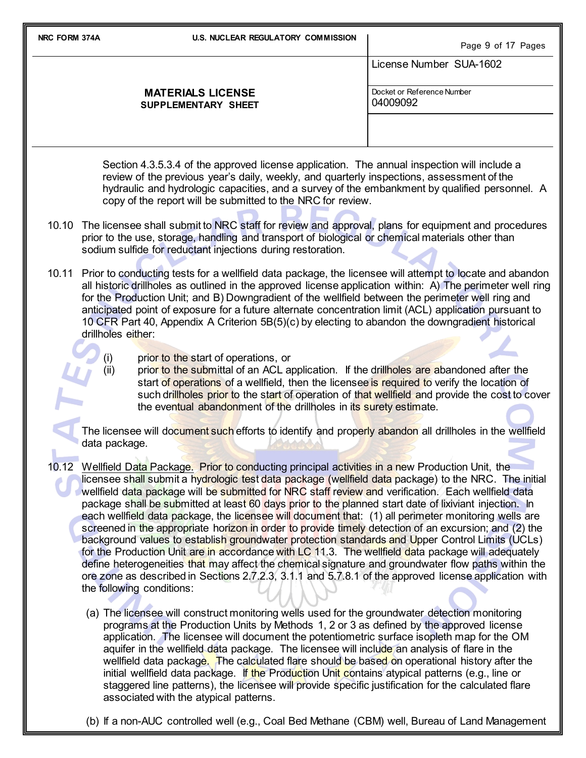| NRC FORM 374A                                                                                                                                                                                                                                                                                                                                                                                                                                                                                                                                                                                                                                                                                                                                                                                                                                                                                                                                                                                                                                                                                            | <b>U.S. NUCLEAR REGULATORY COMMISSION</b>                                                                                                                                                                                                                                                                                                                                                                                                                                                                                                                      | Page 9 of 17 Pages                     |  |  |
|----------------------------------------------------------------------------------------------------------------------------------------------------------------------------------------------------------------------------------------------------------------------------------------------------------------------------------------------------------------------------------------------------------------------------------------------------------------------------------------------------------------------------------------------------------------------------------------------------------------------------------------------------------------------------------------------------------------------------------------------------------------------------------------------------------------------------------------------------------------------------------------------------------------------------------------------------------------------------------------------------------------------------------------------------------------------------------------------------------|----------------------------------------------------------------------------------------------------------------------------------------------------------------------------------------------------------------------------------------------------------------------------------------------------------------------------------------------------------------------------------------------------------------------------------------------------------------------------------------------------------------------------------------------------------------|----------------------------------------|--|--|
|                                                                                                                                                                                                                                                                                                                                                                                                                                                                                                                                                                                                                                                                                                                                                                                                                                                                                                                                                                                                                                                                                                          |                                                                                                                                                                                                                                                                                                                                                                                                                                                                                                                                                                | License Number SUA-1602                |  |  |
|                                                                                                                                                                                                                                                                                                                                                                                                                                                                                                                                                                                                                                                                                                                                                                                                                                                                                                                                                                                                                                                                                                          | <b>MATERIALS LICENSE</b><br>SUPPLEMENTARY SHEET                                                                                                                                                                                                                                                                                                                                                                                                                                                                                                                | Docket or Reference Number<br>04009092 |  |  |
|                                                                                                                                                                                                                                                                                                                                                                                                                                                                                                                                                                                                                                                                                                                                                                                                                                                                                                                                                                                                                                                                                                          |                                                                                                                                                                                                                                                                                                                                                                                                                                                                                                                                                                |                                        |  |  |
|                                                                                                                                                                                                                                                                                                                                                                                                                                                                                                                                                                                                                                                                                                                                                                                                                                                                                                                                                                                                                                                                                                          | Section 4.3.5.3.4 of the approved license application. The annual inspection will include a<br>review of the previous year's daily, weekly, and quarterly inspections, assessment of the<br>hydraulic and hydrologic capacities, and a survey of the embankment by qualified personnel. A<br>copy of the report will be submitted to the NRC for review.                                                                                                                                                                                                       |                                        |  |  |
| 10.10                                                                                                                                                                                                                                                                                                                                                                                                                                                                                                                                                                                                                                                                                                                                                                                                                                                                                                                                                                                                                                                                                                    | The licensee shall submit to NRC staff for review and approval, plans for equipment and procedures<br>prior to the use, storage, handling and transport of biological or chemical materials other than<br>sodium sulfide for reductant injections during restoration.                                                                                                                                                                                                                                                                                          |                                        |  |  |
| 10.11                                                                                                                                                                                                                                                                                                                                                                                                                                                                                                                                                                                                                                                                                                                                                                                                                                                                                                                                                                                                                                                                                                    | Prior to conducting tests for a wellfield data package, the licensee will attempt to locate and abandon<br>all historic drillholes as outlined in the approved license application within: A) The perimeter well ring<br>for the Production Unit; and B) Downgradient of the wellfield between the perimeter well ring and<br>anticipated point of exposure for a future alternate concentration limit (ACL) application pursuant to<br>10 CFR Part 40, Appendix A Criterion 5B(5)(c) by electing to abandon the downgradient historical<br>drillholes either: |                                        |  |  |
|                                                                                                                                                                                                                                                                                                                                                                                                                                                                                                                                                                                                                                                                                                                                                                                                                                                                                                                                                                                                                                                                                                          | prior to the start of operations, or<br>(i)<br>prior to the submittal of an ACL application. If the drillholes are abandoned after the<br>(ii)<br>start of operations of a wellfield, then the licensee is required to verify the location of<br>such drillholes prior to the start of operation of that wellfield and provide the cost to cover<br>the eventual abandonment of the drillholes in its surety estimate.                                                                                                                                         |                                        |  |  |
|                                                                                                                                                                                                                                                                                                                                                                                                                                                                                                                                                                                                                                                                                                                                                                                                                                                                                                                                                                                                                                                                                                          | The licensee will document such efforts to identify and properly abandon all drillholes in the wellfield<br>data package.                                                                                                                                                                                                                                                                                                                                                                                                                                      |                                        |  |  |
| Wellfield Data Package. Prior to conducting principal activities in a new Production Unit, the<br>10.12<br>licensee shall submit a hydrologic test data package (wellfield data package) to the NRC. The initial<br>wellfield data package will be submitted for NRC staff review and verification. Each wellfield data<br>package shall be submitted at least 60 days prior to the planned start date of lixiviant injection. In<br>each wellfield data package, the licensee will document that: (1) all perimeter monitoring wells are<br>screened in the appropriate horizon in order to provide timely detection of an excursion; and (2) the<br>background values to establish groundwater protection standards and Upper Control Limits (UCLs)<br>for the Production Unit are in accordance with LC 11.3. The wellfield data package will adequately<br>define heterogeneities that may affect the chemical signature and groundwater flow paths within the<br>ore zone as described in Sections 2.7.2.3, 3.1.1 and 5.7.8.1 of the approved license application with<br>the following conditions: |                                                                                                                                                                                                                                                                                                                                                                                                                                                                                                                                                                |                                        |  |  |

(a) The licensee will construct monitoring wells used for the groundwater detection monitoring programs at the Production Units by Methods 1, 2 or 3 as defined by the approved license application. The licensee will document the potentiometric surface isopleth map for the OM aquifer in the wellfield data package. The licensee will include an analysis of flare in the wellfield data package. The calculated flare should be based on operational history after the initial wellfield data package. If the Production Unit contains atypical patterns (e.g., line or staggered line patterns), the licensee will provide specific justification for the calculated flare associated with the atypical patterns.

(b) If a non-AUC controlled well (e.g., Coal Bed Methane (CBM) well, Bureau of Land Management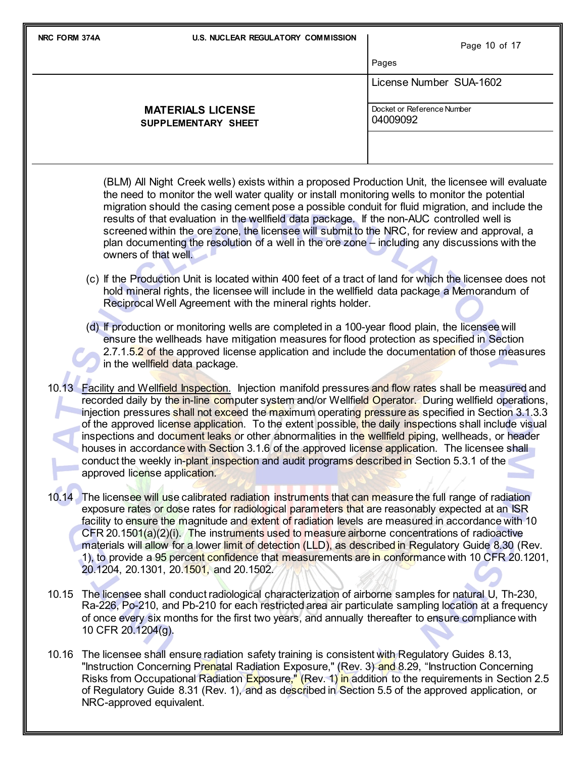| NRC FORM 374A | <b>U.S. NUCLEAR REGULATORY COMMISSION</b>                                                                                                                                                                                                                                                                                                                                                                                                                                                                                                                                                                                                                                                                                                                                       | Page 10 of 17                          |
|---------------|---------------------------------------------------------------------------------------------------------------------------------------------------------------------------------------------------------------------------------------------------------------------------------------------------------------------------------------------------------------------------------------------------------------------------------------------------------------------------------------------------------------------------------------------------------------------------------------------------------------------------------------------------------------------------------------------------------------------------------------------------------------------------------|----------------------------------------|
|               |                                                                                                                                                                                                                                                                                                                                                                                                                                                                                                                                                                                                                                                                                                                                                                                 | Pages                                  |
|               |                                                                                                                                                                                                                                                                                                                                                                                                                                                                                                                                                                                                                                                                                                                                                                                 | License Number SUA-1602                |
|               | <b>MATERIALS LICENSE</b><br>SUPPLEMENTARY SHEET                                                                                                                                                                                                                                                                                                                                                                                                                                                                                                                                                                                                                                                                                                                                 | Docket or Reference Number<br>04009092 |
|               |                                                                                                                                                                                                                                                                                                                                                                                                                                                                                                                                                                                                                                                                                                                                                                                 |                                        |
|               | (BLM) All Night Creek wells) exists within a proposed Production Unit, the licensee will evaluate<br>the need to monitor the well water quality or install monitoring wells to monitor the potential<br>migration should the casing cement pose a possible conduit for fluid migration, and include the<br>results of that evaluation in the wellfield data package. If the non-AUC controlled well is<br>screened within the ore zone, the licensee will submit to the NRC, for review and approval, a<br>plan documenting the resolution of a well in the ore zone – including any discussions with the<br>owners of that well.                                                                                                                                               |                                        |
|               | (c) If the Production Unit is located within 400 feet of a tract of land for which the licensee does not<br>hold mineral rights, the licensee will include in the wellfield data package a Memorandum of<br>Reciprocal Well Agreement with the mineral rights holder.                                                                                                                                                                                                                                                                                                                                                                                                                                                                                                           |                                        |
|               | (d) If production or monitoring wells are completed in a 100-year flood plain, the licensee will<br>ensure the wellheads have mitigation measures for flood protection as specified in Section<br>2.7.1.5.2 of the approved license application and include the documentation of those measures<br>in the wellfield data package.                                                                                                                                                                                                                                                                                                                                                                                                                                               |                                        |
|               | 10.13 Facility and Wellfield Inspection. Injection manifold pressures and flow rates shall be measured and<br>recorded daily by the in-line computer system and/or Wellfield Operator. During wellfield operations,<br>injection pressures shall not exceed the maximum operating pressure as specified in Section 3.1.3.3<br>of the approved license application. To the extent possible, the daily inspections shall include visual<br>inspections and document leaks or other abnormalities in the wellfield piping, wellheads, or header<br>houses in accordance with Section 3.1.6 of the approved license application. The licensee shall<br>conduct the weekly in-plant inspection and audit programs described in Section 5.3.1 of the<br>approved license application. |                                        |
| 10.14         | The licensee will use calibrated radiation instruments that can measure the full range of radiation<br>exposure rates or dose rates for radiological parameters that are reasonably expected at an ISR<br>facility to ensure the magnitude and extent of radiation levels are measured in accordance with 10<br>CFR 20.1501(a)(2)(i). The instruments used to measure airborne concentrations of radioactive<br>materials will allow for a lower limit of detection (LLD), as described in Regulatory Guide 8.30 (Rev.<br>1), to provide a 95 percent confidence that measurements are in conformance with 10 CFR 20.1201,<br>20.1204, 20.1301, 20.1501, and 20.1502.                                                                                                           |                                        |
| 10.15         | The licensee shall conduct radiological characterization of airborne samples for natural U, Th-230,<br>Ra-226, Po-210, and Pb-210 for each restricted area air particulate sampling location at a frequency<br>of once every six months for the first two years, and annually thereafter to ensure compliance with<br>10 CFR 20.1204(g).                                                                                                                                                                                                                                                                                                                                                                                                                                        |                                        |
| 10.16         | The licensee shall ensure radiation safety training is consistent with Regulatory Guides 8.13,<br>"Instruction Concerning Prenatal Radiation Exposure," (Rev. 3) and 8.29, "Instruction Concerning<br>Risks from Occupational Radiation Exposure," (Rev. 1) in addition to the requirements in Section 2.5<br>of Regulatory Guide 8.31 (Rev. 1), and as described in Section 5.5 of the approved application, or                                                                                                                                                                                                                                                                                                                                                                |                                        |

NRC-approved equivalent.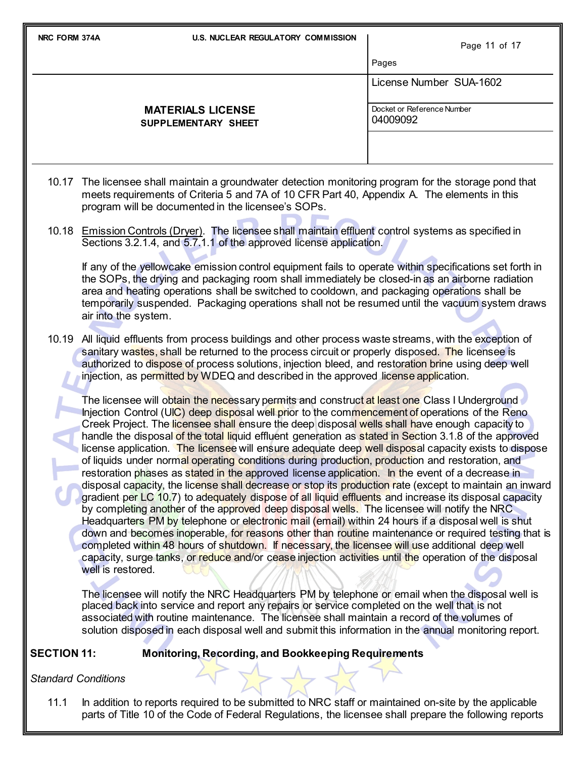| NRC FORM 374A                                                                                                                                                                                                                                                                                                                                                                                                                                                                                                                                                                                                                                                                                                                                                                                                                                                                                                                                                                                                                                                                                                                                                                                                                                                                                                                                                                                                                                                                                                                                                                                                                                                                                    |                            | <b>U.S. NUCLEAR REGULATORY COMMISSION</b>                                                                                                                                                                                                                                                                                                                                                               | Page 11 of 17                          |
|--------------------------------------------------------------------------------------------------------------------------------------------------------------------------------------------------------------------------------------------------------------------------------------------------------------------------------------------------------------------------------------------------------------------------------------------------------------------------------------------------------------------------------------------------------------------------------------------------------------------------------------------------------------------------------------------------------------------------------------------------------------------------------------------------------------------------------------------------------------------------------------------------------------------------------------------------------------------------------------------------------------------------------------------------------------------------------------------------------------------------------------------------------------------------------------------------------------------------------------------------------------------------------------------------------------------------------------------------------------------------------------------------------------------------------------------------------------------------------------------------------------------------------------------------------------------------------------------------------------------------------------------------------------------------------------------------|----------------------------|---------------------------------------------------------------------------------------------------------------------------------------------------------------------------------------------------------------------------------------------------------------------------------------------------------------------------------------------------------------------------------------------------------|----------------------------------------|
|                                                                                                                                                                                                                                                                                                                                                                                                                                                                                                                                                                                                                                                                                                                                                                                                                                                                                                                                                                                                                                                                                                                                                                                                                                                                                                                                                                                                                                                                                                                                                                                                                                                                                                  |                            |                                                                                                                                                                                                                                                                                                                                                                                                         | Pages                                  |
|                                                                                                                                                                                                                                                                                                                                                                                                                                                                                                                                                                                                                                                                                                                                                                                                                                                                                                                                                                                                                                                                                                                                                                                                                                                                                                                                                                                                                                                                                                                                                                                                                                                                                                  |                            |                                                                                                                                                                                                                                                                                                                                                                                                         | License Number SUA-1602                |
|                                                                                                                                                                                                                                                                                                                                                                                                                                                                                                                                                                                                                                                                                                                                                                                                                                                                                                                                                                                                                                                                                                                                                                                                                                                                                                                                                                                                                                                                                                                                                                                                                                                                                                  |                            | <b>MATERIALS LICENSE</b><br>SUPPLEMENTARY SHEET                                                                                                                                                                                                                                                                                                                                                         | Docket or Reference Number<br>04009092 |
|                                                                                                                                                                                                                                                                                                                                                                                                                                                                                                                                                                                                                                                                                                                                                                                                                                                                                                                                                                                                                                                                                                                                                                                                                                                                                                                                                                                                                                                                                                                                                                                                                                                                                                  |                            |                                                                                                                                                                                                                                                                                                                                                                                                         |                                        |
|                                                                                                                                                                                                                                                                                                                                                                                                                                                                                                                                                                                                                                                                                                                                                                                                                                                                                                                                                                                                                                                                                                                                                                                                                                                                                                                                                                                                                                                                                                                                                                                                                                                                                                  |                            | 10.17 The licensee shall maintain a groundwater detection monitoring program for the storage pond that<br>meets requirements of Criteria 5 and 7A of 10 CFR Part 40, Appendix A. The elements in this<br>program will be documented in the licensee's SOPs.                                                                                                                                             |                                        |
|                                                                                                                                                                                                                                                                                                                                                                                                                                                                                                                                                                                                                                                                                                                                                                                                                                                                                                                                                                                                                                                                                                                                                                                                                                                                                                                                                                                                                                                                                                                                                                                                                                                                                                  |                            | 10.18 Emission Controls (Dryer). The licensee shall maintain effluent control systems as specified in<br>Sections 3.2.1.4, and 5.7.1.1 of the approved license application.<br>If any of the yellowcake emission control equipment fails to operate within specifications set forth in<br>the SOPs, the drying and packaging room shall immediately be closed-in as an airborne radiation               |                                        |
|                                                                                                                                                                                                                                                                                                                                                                                                                                                                                                                                                                                                                                                                                                                                                                                                                                                                                                                                                                                                                                                                                                                                                                                                                                                                                                                                                                                                                                                                                                                                                                                                                                                                                                  | air into the system.       | area and heating operations shall be switched to cooldown, and packaging operations shall be<br>temporarily suspended. Packaging operations shall not be resumed until the vacuum system draws                                                                                                                                                                                                          |                                        |
|                                                                                                                                                                                                                                                                                                                                                                                                                                                                                                                                                                                                                                                                                                                                                                                                                                                                                                                                                                                                                                                                                                                                                                                                                                                                                                                                                                                                                                                                                                                                                                                                                                                                                                  |                            | 10.19 All liquid effluents from process buildings and other process waste streams, with the exception of<br>sanitary wastes, shall be returned to the process circuit or properly disposed. The licensee is<br>authorized to dispose of process solutions, injection bleed, and restoration brine using deep well<br>injection, as permitted by WDEQ and described in the approved license application. |                                        |
| The licensee will obtain the necessary permits and construct at least one Class I Underground<br>Injection Control (UIC) deep disposal well prior to the commencement of operations of the Reno<br>Creek Project. The licensee shall ensure the deep disposal wells shall have enough capacity to<br>handle the disposal of the total liquid effluent generation as stated in Section 3.1.8 of the approved<br>license application. The licensee will ensure adequate deep well disposal capacity exists to dispose<br>of liquids under normal operating conditions during production, production and restoration, and<br>restoration phases as stated in the approved license application. In the event of a decrease in<br>disposal capacity, the license shall decrease or stop its production rate (except to maintain an inward<br>gradient per LC 10.7) to adequately dispose of all liquid effluents and increase its disposal capacity<br>by completing another of the approved deep disposal wells. The licensee will notify the NRC<br>Headquarters PM by telephone or electronic mail (email) within 24 hours if a disposal well is shut<br>down and becomes inoperable, for reasons other than routine maintenance or required testing that is<br>completed within 48 hours of shutdown. If necessary, the licensee will use additional deep well<br>capacity, surge tanks, or reduce and/or cease injection activities until the operation of the disposal<br>well is restored.<br>The licensee will notify the NRC Headquarters PM by telephone or email when the disposal well is<br>placed back into service and report any repairs or service completed on the well that is not |                            |                                                                                                                                                                                                                                                                                                                                                                                                         |                                        |
|                                                                                                                                                                                                                                                                                                                                                                                                                                                                                                                                                                                                                                                                                                                                                                                                                                                                                                                                                                                                                                                                                                                                                                                                                                                                                                                                                                                                                                                                                                                                                                                                                                                                                                  |                            | associated with routine maintenance. The licensee shall maintain a record of the volumes of<br>solution disposed in each disposal well and submit this information in the annual monitoring report.                                                                                                                                                                                                     |                                        |
| <b>SECTION 11:</b>                                                                                                                                                                                                                                                                                                                                                                                                                                                                                                                                                                                                                                                                                                                                                                                                                                                                                                                                                                                                                                                                                                                                                                                                                                                                                                                                                                                                                                                                                                                                                                                                                                                                               |                            | <b>Monitoring, Recording, and Bookkeeping Requirements</b>                                                                                                                                                                                                                                                                                                                                              |                                        |
|                                                                                                                                                                                                                                                                                                                                                                                                                                                                                                                                                                                                                                                                                                                                                                                                                                                                                                                                                                                                                                                                                                                                                                                                                                                                                                                                                                                                                                                                                                                                                                                                                                                                                                  | <b>Standard Conditions</b> |                                                                                                                                                                                                                                                                                                                                                                                                         |                                        |

11.1 In addition to reports required to be submitted to NRC staff or maintained on-site by the applicable parts of Title 10 of the Code of Federal Regulations, the licensee shall prepare the following reports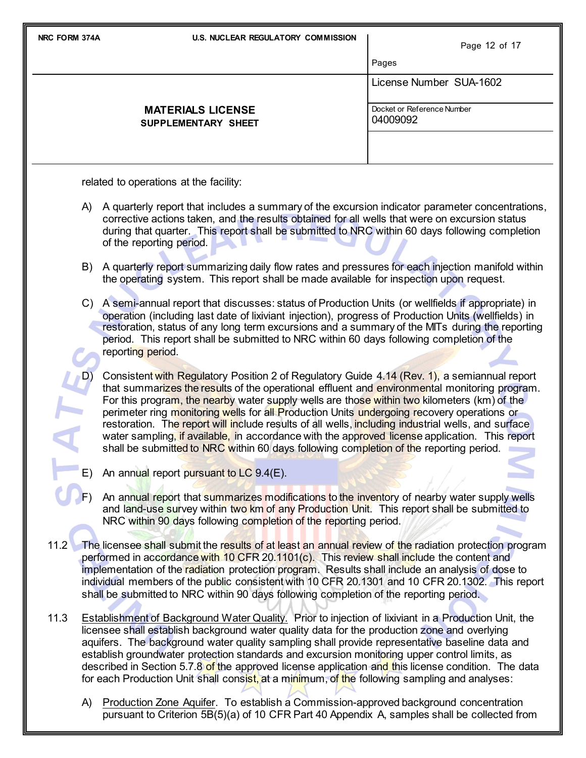| NRC FORM 374A | <b>U.S. NUCLEAR REGULATORY COMMISSION</b>                                                                                                                                                                                                                                                                                                                                                                                                                                                                                                                                                                                                                                                    | Page 12 of 17                          |
|---------------|----------------------------------------------------------------------------------------------------------------------------------------------------------------------------------------------------------------------------------------------------------------------------------------------------------------------------------------------------------------------------------------------------------------------------------------------------------------------------------------------------------------------------------------------------------------------------------------------------------------------------------------------------------------------------------------------|----------------------------------------|
|               |                                                                                                                                                                                                                                                                                                                                                                                                                                                                                                                                                                                                                                                                                              | Pages                                  |
|               |                                                                                                                                                                                                                                                                                                                                                                                                                                                                                                                                                                                                                                                                                              | License Number SUA-1602                |
|               | <b>MATERIALS LICENSE</b><br>SUPPLEMENTARY SHEET                                                                                                                                                                                                                                                                                                                                                                                                                                                                                                                                                                                                                                              | Docket or Reference Number<br>04009092 |
|               |                                                                                                                                                                                                                                                                                                                                                                                                                                                                                                                                                                                                                                                                                              |                                        |
|               | related to operations at the facility:                                                                                                                                                                                                                                                                                                                                                                                                                                                                                                                                                                                                                                                       |                                        |
|               | A) A quarterly report that includes a summary of the excursion indicator parameter concentrations,<br>corrective actions taken, and the results obtained for all wells that were on excursion status<br>during that quarter. This report shall be submitted to NRC within 60 days following completion<br>of the reporting period.                                                                                                                                                                                                                                                                                                                                                           |                                        |
|               | B) A quarterly report summarizing daily flow rates and pressures for each injection manifold within<br>the operating system. This report shall be made available for inspection upon request.                                                                                                                                                                                                                                                                                                                                                                                                                                                                                                |                                        |
|               | C) A semi-annual report that discusses: status of Production Units (or wellfields if appropriate) in<br>operation (including last date of lixiviant injection), progress of Production Units (wellfields) in<br>restoration, status of any long term excursions and a summary of the MITs during the reporting<br>period. This report shall be submitted to NRC within 60 days following completion of the<br>reporting period.                                                                                                                                                                                                                                                              |                                        |
|               | Consistent with Regulatory Position 2 of Regulatory Guide 4.14 (Rev. 1), a semiannual report<br>that summarizes the results of the operational effluent and environmental monitoring program.<br>For this program, the nearby water supply wells are those within two kilometers (km) of the<br>perimeter ring monitoring wells for all Production Units undergoing recovery operations or<br>restoration. The report will include results of all wells, including industrial wells, and surface<br>water sampling, if available, in accordance with the approved license application. This report<br>shall be submitted to NRC within 60 days following completion of the reporting period. |                                        |
|               | An annual report pursuant to LC 9.4(E).                                                                                                                                                                                                                                                                                                                                                                                                                                                                                                                                                                                                                                                      |                                        |
|               | An annual report that summarizes modifications to the inventory of nearby water supply wells<br>and land-use survey within two km of any Production Unit. This report shall be submitted to<br>NRC within 90 days following completion of the reporting period.                                                                                                                                                                                                                                                                                                                                                                                                                              |                                        |
| 11.2          | The licensee shall submit the results of at least an annual review of the radiation protection program<br>performed in accordance with 10 CFR 20.1101(c). This review shall include the content and<br>implementation of the radiation protection program. Results shall include an analysis of dose to<br>individual members of the public consistent with 10 CFR 20.1301 and 10 CFR 20.1302. This report<br>shall be submitted to NRC within 90 days following completion of the reporting period.                                                                                                                                                                                         |                                        |
| 11.3          | <b>Establishment of Background Water Quality.</b> Prior to injection of lixiviant in a Production Unit, the<br>licensee shall establish background water quality data for the production zone and overlying<br>aquifers. The background water quality sampling shall provide representative baseline data and<br>establish groundwater protection standards and excursion monitoring upper control limits, as<br>described in Section 5.7.8 of the approved license application and this license condition. The data<br>for each Production Unit shall consist, at a minimum, of the following sampling and analyses:                                                                        |                                        |
| A)            | Production Zone Aquifer. To establish a Commission-approved background concentration                                                                                                                                                                                                                                                                                                                                                                                                                                                                                                                                                                                                         |                                        |

pursuant to Criterion 5B(5)(a) of 10 CFR Part 40 Appendix A, samples shall be collected from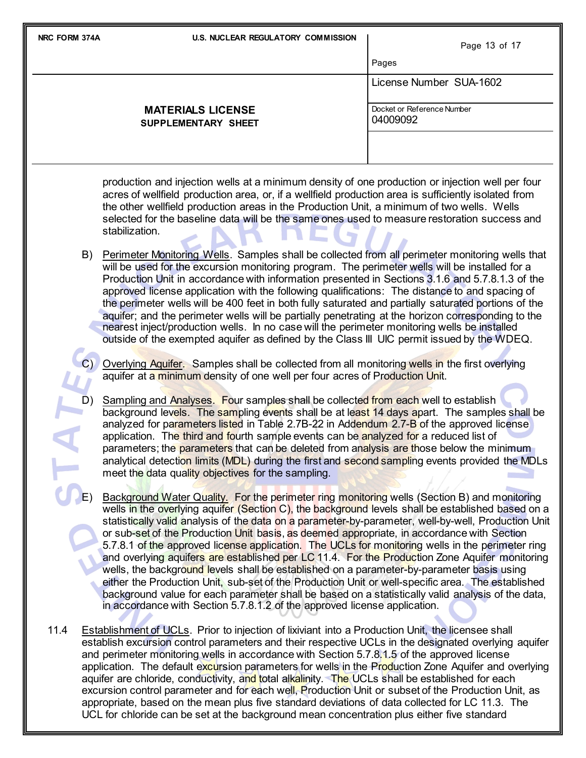| NRC FORM 374A | <b>U.S. NUCLEAR REGULATORY COMMISSION</b>                                                                                                                                                                                                                                                                                                                                                                                                                                                                                                                                                                                                                                                                                                                                                                                                                                                                                                                                                        | Page 13 of 17                          |
|---------------|--------------------------------------------------------------------------------------------------------------------------------------------------------------------------------------------------------------------------------------------------------------------------------------------------------------------------------------------------------------------------------------------------------------------------------------------------------------------------------------------------------------------------------------------------------------------------------------------------------------------------------------------------------------------------------------------------------------------------------------------------------------------------------------------------------------------------------------------------------------------------------------------------------------------------------------------------------------------------------------------------|----------------------------------------|
|               |                                                                                                                                                                                                                                                                                                                                                                                                                                                                                                                                                                                                                                                                                                                                                                                                                                                                                                                                                                                                  | Pages                                  |
|               |                                                                                                                                                                                                                                                                                                                                                                                                                                                                                                                                                                                                                                                                                                                                                                                                                                                                                                                                                                                                  | License Number SUA-1602                |
|               | <b>MATERIALS LICENSE</b><br>SUPPLEMENTARY SHEET                                                                                                                                                                                                                                                                                                                                                                                                                                                                                                                                                                                                                                                                                                                                                                                                                                                                                                                                                  | Docket or Reference Number<br>04009092 |
|               |                                                                                                                                                                                                                                                                                                                                                                                                                                                                                                                                                                                                                                                                                                                                                                                                                                                                                                                                                                                                  |                                        |
|               | production and injection wells at a minimum density of one production or injection well per four<br>acres of wellfield production area, or, if a wellfield production area is sufficiently isolated from<br>the other wellfield production areas in the Production Unit, a minimum of two wells. Wells<br>selected for the baseline data will be the same ones used to measure restoration success and<br>stabilization.                                                                                                                                                                                                                                                                                                                                                                                                                                                                                                                                                                         |                                        |
| B)            | Perimeter Monitoring Wells. Samples shall be collected from all perimeter monitoring wells that<br>will be used for the excursion monitoring program. The perimeter wells will be installed for a<br>Production Unit in accordance with information presented in Sections 3.1.6 and 5.7.8.1.3 of the<br>approved license application with the following qualifications: The distance to and spacing of<br>the perimeter wells will be 400 feet in both fully saturated and partially saturated portions of the<br>aquifer; and the perimeter wells will be partially penetrating at the horizon corresponding to the<br>nearest inject/production wells. In no case will the perimeter monitoring wells be installed<br>outside of the exempted aquifer as defined by the Class III UIC permit issued by the WDEQ.                                                                                                                                                                               |                                        |
|               | Overlying Aquifer. Samples shall be collected from all monitoring wells in the first overlying<br>aquifer at a minimum density of one well per four acres of Production Unit.                                                                                                                                                                                                                                                                                                                                                                                                                                                                                                                                                                                                                                                                                                                                                                                                                    |                                        |
|               | Sampling and Analyses. Four samples shall be collected from each well to establish<br>background levels. The sampling events shall be at least 14 days apart. The samples shall be<br>analyzed for parameters listed in Table 2.7B-22 in Addendum 2.7-B of the approved license<br>application. The third and fourth sample events can be analyzed for a reduced list of<br>parameters; the parameters that can be deleted from analysis are those below the minimum<br>analytical detection limits (MDL) during the first and second sampling events provided the MDLs<br>meet the data quality objectives for the sampling.                                                                                                                                                                                                                                                                                                                                                                    |                                        |
|               | Background Water Quality. For the perimeter ring monitoring wells (Section B) and monitoring<br>wells in the overlying aquifer (Section C), the background levels shall be established based on a<br>statistically valid analysis of the data on a parameter-by-parameter, well-by-well, Production Unit<br>or sub-set of the Production Unit basis, as deemed appropriate, in accordance with Section<br>5.7.8.1 of the approved license application. The UCLs for monitoring wells in the perimeter ring<br>and overlying aquifers are established per LC 11.4. For the Production Zone Aquifer monitoring<br>wells, the background levels shall be established on a parameter-by-parameter basis using<br>either the Production Unit, sub-set of the Production Unit or well-specific area. The established<br>background value for each parameter shall be based on a statistically valid analysis of the data,<br>in accordance with Section 5.7.8.1.2 of the approved license application. |                                        |
| 11.4          | Establishment of UCLs. Prior to injection of lixiviant into a Production Unit, the licensee shall<br>establish excursion control parameters and their respective UCLs in the designated overlying aquifer<br>and perimeter monitoring wells in accordance with Section 5.7.8.1.5 of the approved license<br>application. The default excursion parameters for wells in the Production Zone Aquifer and overlying<br>aquifer are chloride, conductivity, and total alkalinity. The UCLs shall be established for each<br>excursion control parameter and for each well, Production Unit or subset of the Production Unit, as<br>appropriate, based on the mean plus five standard deviations of data collected for LC 11.3. The<br>UCL for chloride can be set at the background mean concentration plus either five standard                                                                                                                                                                     |                                        |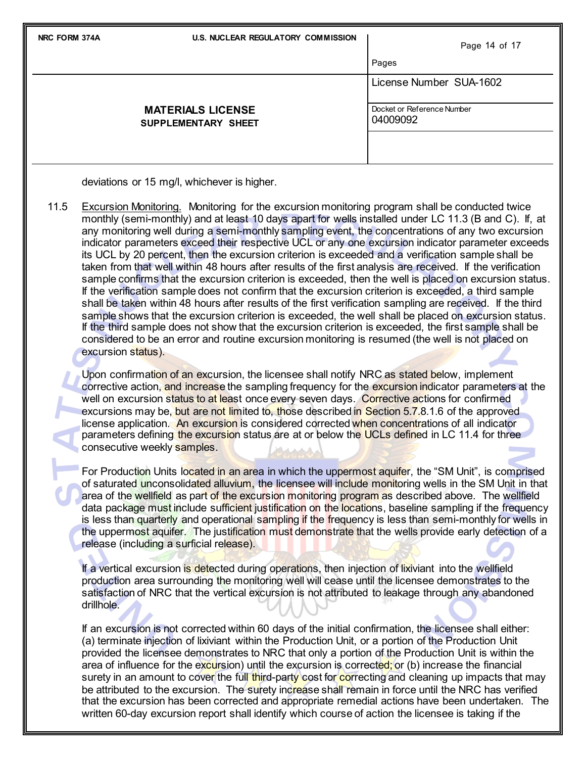| NRC FORM 374A                               | U.S. NUCLEAR REGULATORY COMMISSION                     | Page 14 of 17                          |  |  |
|---------------------------------------------|--------------------------------------------------------|----------------------------------------|--|--|
|                                             |                                                        | Pages                                  |  |  |
|                                             |                                                        | License Number SUA-1602                |  |  |
|                                             | <b>MATERIALS LICENSE</b><br><b>SUPPLEMENTARY SHEET</b> | Docket or Reference Number<br>04009092 |  |  |
| deviations or 15 mg/l, whichever is higher. |                                                        |                                        |  |  |

11.5 Excursion Monitoring. Monitoring for the excursion monitoring program shall be conducted twice monthly (semi-monthly) and at least 10 days apart for wells installed under LC 11.3 (B and C). If, at any monitoring well during a semi-monthly sampling event, the concentrations of any two excursion indicator parameters exceed their respective UCL or any one excursion indicator parameter exceeds its UCL by 20 percent, then the excursion criterion is exceeded and a verification sample shall be taken from that well within 48 hours after results of the first analysis are received. If the verification sample confirms that the excursion criterion is exceeded, then the well is placed on excursion status. If the verification sample does not confirm that the excursion criterion is exceeded, a third sample shall be taken within 48 hours after results of the first verification sampling are received. If the third sample shows that the excursion criterion is exceeded, the well shall be placed on excursion status. If the third sample does not show that the excursion criterion is exceeded, the first sample shall be considered to be an error and routine excursion monitoring is resumed (the well is not placed on excursion status).

Upon confirmation of an excursion, the licensee shall notify NRC as stated below, implement corrective action, and increase the sampling frequency for the excursion indicator parameters at the well on excursion status to at least once every seven days. Corrective actions for confirmed excursions may be, but are not limited to, those described in Section 5.7.8.1.6 of the approved license application. An excursion is considered corrected when concentrations of all indicator parameters defining the excursion status are at or below the UCLs defined in LC 11.4 for three consecutive weekly samples.

For Production Units located in an area in which the uppermost aquifer, the "SM Unit", is comprised of saturated unconsolidated alluvium, the licensee will include monitoring wells in the SM Unit in that area of the wellfield as part of the excursion monitoring program as described above. The wellfield data package must include sufficient justification on the locations, baseline sampling if the frequency is less than quarterly and operational sampling if the frequency is less than semi-monthly for wells in the uppermost aquifer. The justification must demonstrate that the wells provide early detection of a release (including a surficial release).

If a vertical excursion is detected during operations, then injection of lixiviant into the wellfield production area surrounding the monitoring well will cease until the licensee demonstrates to the satisfaction of NRC that the vertical excursion is not attributed to leakage through any abandoned drillhole.

If an excursion is not corrected within 60 days of the initial confirmation, the licensee shall either: (a) terminate injection of lixiviant within the Production Unit, or a portion of the Production Unit provided the licensee demonstrates to NRC that only a portion of the Production Unit is within the area of influence for the excursion) until the excursion is corrected; or (b) increase the financial surety in an amount to cover the full third-party cost for correcting and cleaning up impacts that may be attributed to the excursion. The surety increase shall remain in force until the NRC has verified that the excursion has been corrected and appropriate remedial actions have been undertaken. The written 60-day excursion report shall identify which course of action the licensee is taking if the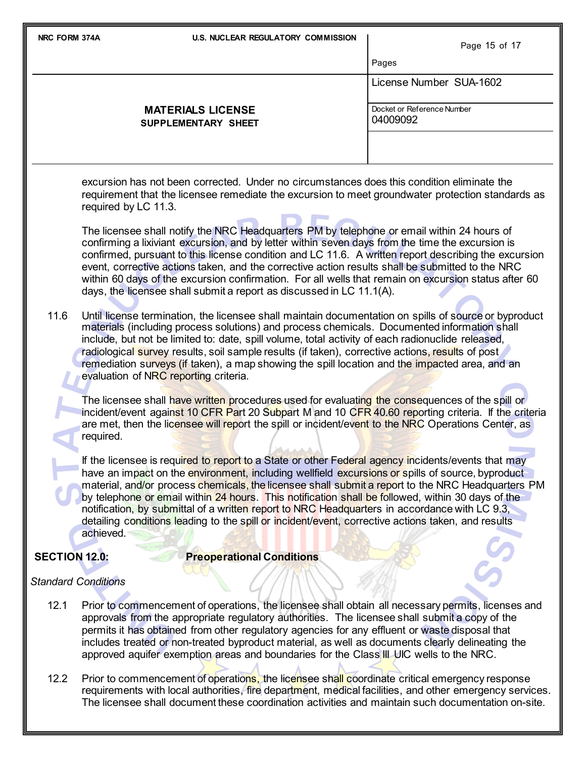| NRC FORM 374A                                                                                                                                                                                                                                                                                                                                                                                                                                                                                                 | <b>U.S. NUCLEAR REGULATORY COMMISSION</b>                                                                                                                                                                                                                                                                                                                                                                                                                                                                                                                                                                                                    | Page 15 of 17                          |  |  |  |
|---------------------------------------------------------------------------------------------------------------------------------------------------------------------------------------------------------------------------------------------------------------------------------------------------------------------------------------------------------------------------------------------------------------------------------------------------------------------------------------------------------------|----------------------------------------------------------------------------------------------------------------------------------------------------------------------------------------------------------------------------------------------------------------------------------------------------------------------------------------------------------------------------------------------------------------------------------------------------------------------------------------------------------------------------------------------------------------------------------------------------------------------------------------------|----------------------------------------|--|--|--|
|                                                                                                                                                                                                                                                                                                                                                                                                                                                                                                               |                                                                                                                                                                                                                                                                                                                                                                                                                                                                                                                                                                                                                                              | Pages                                  |  |  |  |
|                                                                                                                                                                                                                                                                                                                                                                                                                                                                                                               |                                                                                                                                                                                                                                                                                                                                                                                                                                                                                                                                                                                                                                              | License Number SUA-1602                |  |  |  |
|                                                                                                                                                                                                                                                                                                                                                                                                                                                                                                               | <b>MATERIALS LICENSE</b><br>SUPPLEMENTARY SHEET                                                                                                                                                                                                                                                                                                                                                                                                                                                                                                                                                                                              | Docket or Reference Number<br>04009092 |  |  |  |
|                                                                                                                                                                                                                                                                                                                                                                                                                                                                                                               |                                                                                                                                                                                                                                                                                                                                                                                                                                                                                                                                                                                                                                              |                                        |  |  |  |
|                                                                                                                                                                                                                                                                                                                                                                                                                                                                                                               | excursion has not been corrected. Under no circumstances does this condition eliminate the<br>requirement that the licensee remediate the excursion to meet groundwater protection standards as<br>required by LC 11.3.                                                                                                                                                                                                                                                                                                                                                                                                                      |                                        |  |  |  |
|                                                                                                                                                                                                                                                                                                                                                                                                                                                                                                               | The licensee shall notify the NRC Headquarters PM by telephone or email within 24 hours of<br>confirming a lixiviant excursion, and by letter within seven days from the time the excursion is<br>confirmed, pursuant to this license condition and LC 11.6. A written report describing the excursion<br>event, corrective actions taken, and the corrective action results shall be submitted to the NRC<br>within 60 days of the excursion confirmation. For all wells that remain on excursion status after 60<br>days, the licensee shall submit a report as discussed in LC 11.1(A).                                                   |                                        |  |  |  |
| 11.6                                                                                                                                                                                                                                                                                                                                                                                                                                                                                                          | Until license termination, the licensee shall maintain documentation on spills of source or byproduct<br>materials (including process solutions) and process chemicals. Documented information shall<br>include, but not be limited to: date, spill volume, total activity of each radionuclide released,<br>radiological survey results, soil sample results (if taken), corrective actions, results of post<br>remediation surveys (if taken), a map showing the spill location and the impacted area, and an<br>evaluation of NRC reporting criteria.                                                                                     |                                        |  |  |  |
|                                                                                                                                                                                                                                                                                                                                                                                                                                                                                                               | The licensee shall have written procedures used for evaluating the consequences of the spill or<br>incident/event against 10 CFR Part 20 Subpart M and 10 CFR 40.60 reporting criteria. If the criteria<br>are met, then the licensee will report the spill or incident/event to the NRC Operations Center, as<br>required.                                                                                                                                                                                                                                                                                                                  |                                        |  |  |  |
|                                                                                                                                                                                                                                                                                                                                                                                                                                                                                                               | 法法法庭<br>If the licensee is required to report to a State or other Federal agency incidents/events that may<br>have an impact on the environment, including wellfield excursions or spills of source, byproduct<br>material, and/or process chemicals, the licensee shall submit a report to the NRC Headquarters PM<br>by telephone or email within 24 hours. This notification shall be followed, within 30 days of the<br>notification, by submittal of a written report to NRC Headquarters in accordance with LC 9.3,<br>detailing conditions leading to the spill or incident/event, corrective actions taken, and results<br>achieved. |                                        |  |  |  |
| <b>SECTION 12.0:</b>                                                                                                                                                                                                                                                                                                                                                                                                                                                                                          | <b>Preoperational Conditions</b>                                                                                                                                                                                                                                                                                                                                                                                                                                                                                                                                                                                                             |                                        |  |  |  |
| <b>Standard Conditions</b>                                                                                                                                                                                                                                                                                                                                                                                                                                                                                    |                                                                                                                                                                                                                                                                                                                                                                                                                                                                                                                                                                                                                                              |                                        |  |  |  |
| 12.1<br>Prior to commencement of operations, the licensee shall obtain all necessary permits, licenses and<br>approvals from the appropriate regulatory authorities. The licensee shall submit a copy of the<br>permits it has obtained from other regulatory agencies for any effluent or waste disposal that<br>includes treated or non-treated byproduct material, as well as documents clearly delineating the<br>approved aquifer exemption areas and boundaries for the Class III UIC wells to the NRC. |                                                                                                                                                                                                                                                                                                                                                                                                                                                                                                                                                                                                                                              |                                        |  |  |  |

12.2 Prior to commencement of operations, the licensee shall coordinate critical emergency response requirements with local authorities, fire department, medical facilities, and other emergency services. The licensee shall document these coordination activities and maintain such documentation on-site.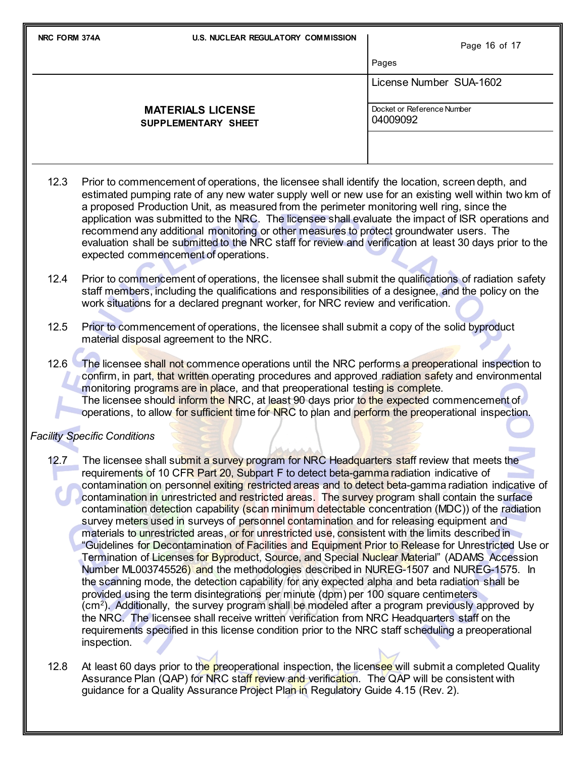| NRC FORM 374A |                                         | <b>U.S. NUCLEAR REGULATORY COMMISSION</b>                                                                                                                                                                                                                                                                                                                                                                                                                                                           | Page 16 of 17                                                                                                                                                                                                                                                                                                                                                                                                                                                                                                                                                                                                                                                                                                                                                                                                                                                                                                                                                                                                                                                                                                                                                                                                                                                                                                                                                                                                                                                                                                           |  |  |
|---------------|-----------------------------------------|-----------------------------------------------------------------------------------------------------------------------------------------------------------------------------------------------------------------------------------------------------------------------------------------------------------------------------------------------------------------------------------------------------------------------------------------------------------------------------------------------------|-------------------------------------------------------------------------------------------------------------------------------------------------------------------------------------------------------------------------------------------------------------------------------------------------------------------------------------------------------------------------------------------------------------------------------------------------------------------------------------------------------------------------------------------------------------------------------------------------------------------------------------------------------------------------------------------------------------------------------------------------------------------------------------------------------------------------------------------------------------------------------------------------------------------------------------------------------------------------------------------------------------------------------------------------------------------------------------------------------------------------------------------------------------------------------------------------------------------------------------------------------------------------------------------------------------------------------------------------------------------------------------------------------------------------------------------------------------------------------------------------------------------------|--|--|
|               |                                         |                                                                                                                                                                                                                                                                                                                                                                                                                                                                                                     | Pages                                                                                                                                                                                                                                                                                                                                                                                                                                                                                                                                                                                                                                                                                                                                                                                                                                                                                                                                                                                                                                                                                                                                                                                                                                                                                                                                                                                                                                                                                                                   |  |  |
|               |                                         |                                                                                                                                                                                                                                                                                                                                                                                                                                                                                                     | License Number SUA-1602                                                                                                                                                                                                                                                                                                                                                                                                                                                                                                                                                                                                                                                                                                                                                                                                                                                                                                                                                                                                                                                                                                                                                                                                                                                                                                                                                                                                                                                                                                 |  |  |
|               |                                         | <b>MATERIALS LICENSE</b><br>SUPPLEMENTARY SHEET                                                                                                                                                                                                                                                                                                                                                                                                                                                     | Docket or Reference Number<br>04009092                                                                                                                                                                                                                                                                                                                                                                                                                                                                                                                                                                                                                                                                                                                                                                                                                                                                                                                                                                                                                                                                                                                                                                                                                                                                                                                                                                                                                                                                                  |  |  |
|               |                                         |                                                                                                                                                                                                                                                                                                                                                                                                                                                                                                     |                                                                                                                                                                                                                                                                                                                                                                                                                                                                                                                                                                                                                                                                                                                                                                                                                                                                                                                                                                                                                                                                                                                                                                                                                                                                                                                                                                                                                                                                                                                         |  |  |
| 12.3          | expected commencement of operations.    |                                                                                                                                                                                                                                                                                                                                                                                                                                                                                                     | Prior to commencement of operations, the licensee shall identify the location, screen depth, and<br>estimated pumping rate of any new water supply well or new use for an existing well within two km of<br>a proposed Production Unit, as measured from the perimeter monitoring well ring, since the<br>application was submitted to the NRC. The licensee shall evaluate the impact of ISR operations and<br>recommend any additional monitoring or other measures to protect groundwater users. The<br>evaluation shall be submitted to the NRC staff for review and verification at least 30 days prior to the                                                                                                                                                                                                                                                                                                                                                                                                                                                                                                                                                                                                                                                                                                                                                                                                                                                                                                     |  |  |
| 12.4          |                                         | Prior to commencement of operations, the licensee shall submit the qualifications of radiation safety<br>staff members, including the qualifications and responsibilities of a designee, and the policy on the<br>work situations for a declared pregnant worker, for NRC review and verification.                                                                                                                                                                                                  |                                                                                                                                                                                                                                                                                                                                                                                                                                                                                                                                                                                                                                                                                                                                                                                                                                                                                                                                                                                                                                                                                                                                                                                                                                                                                                                                                                                                                                                                                                                         |  |  |
| 12.5          | material disposal agreement to the NRC. |                                                                                                                                                                                                                                                                                                                                                                                                                                                                                                     | Prior to commencement of operations, the licensee shall submit a copy of the solid byproduct                                                                                                                                                                                                                                                                                                                                                                                                                                                                                                                                                                                                                                                                                                                                                                                                                                                                                                                                                                                                                                                                                                                                                                                                                                                                                                                                                                                                                            |  |  |
|               |                                         | 12.6 The licensee shall not commence operations until the NRC performs a preoperational inspection to<br>confirm, in part, that written operating procedures and approved radiation safety and environmental<br>monitoring programs are in place, and that preoperational testing is complete.<br>The licensee should inform the NRC, at least 90 days prior to the expected commencement of<br>operations, to allow for sufficient time for NRC to plan and perform the preoperational inspection. |                                                                                                                                                                                                                                                                                                                                                                                                                                                                                                                                                                                                                                                                                                                                                                                                                                                                                                                                                                                                                                                                                                                                                                                                                                                                                                                                                                                                                                                                                                                         |  |  |
|               | <b>Facility Specific Conditions</b>     |                                                                                                                                                                                                                                                                                                                                                                                                                                                                                                     |                                                                                                                                                                                                                                                                                                                                                                                                                                                                                                                                                                                                                                                                                                                                                                                                                                                                                                                                                                                                                                                                                                                                                                                                                                                                                                                                                                                                                                                                                                                         |  |  |
| 12.7          | inspection.                             |                                                                                                                                                                                                                                                                                                                                                                                                                                                                                                     | The licensee shall submit a survey program for NRC Headquarters staff review that meets the<br>requirements of 10 CFR Part 20, Subpart F to detect beta-gamma radiation indicative of<br>contamination on personnel exiting restricted areas and to detect beta-gamma radiation indicative of<br>contamination in unrestricted and restricted areas. The survey program shall contain the surface<br>contamination detection capability (scan minimum detectable concentration (MDC)) of the radiation<br>survey meters used in surveys of personnel contamination and for releasing equipment and<br>materials to unrestricted areas, or for unrestricted use, consistent with the limits described in<br>"Guidelines for Decontamination of Facilities and Equipment Prior to Release for Unrestricted Use or<br>Termination of Licenses for Byproduct, Source, and Special Nuclear Material" (ADAMS Accession<br>Number ML003745526) and the methodologies described in NUREG-1507 and NUREG-1575. In<br>the scanning mode, the detection capability for any expected alpha and beta radiation shall be<br>provided using the term disintegrations per minute (dpm) per 100 square centimeters<br>(cm <sup>2</sup> ). Additionally, the survey program shall be modeled after a program previously approved by<br>the NRC. The licensee shall receive written verification from NRC Headquarters staff on the<br>requirements specified in this license condition prior to the NRC staff scheduling a preoperational |  |  |
| 12.8          |                                         |                                                                                                                                                                                                                                                                                                                                                                                                                                                                                                     | At least 60 days prior to the preoperational inspection, the licensee will submit a completed Quality<br>Assurance Plan (QAP) for NRC staff review and verification. The QAP will be consistent with                                                                                                                                                                                                                                                                                                                                                                                                                                                                                                                                                                                                                                                                                                                                                                                                                                                                                                                                                                                                                                                                                                                                                                                                                                                                                                                    |  |  |

guidance for a Quality Assurance Project Pla<mark>n in</mark> Regu<mark>lato</mark>ry Guide 4.15 (Rev. 2).